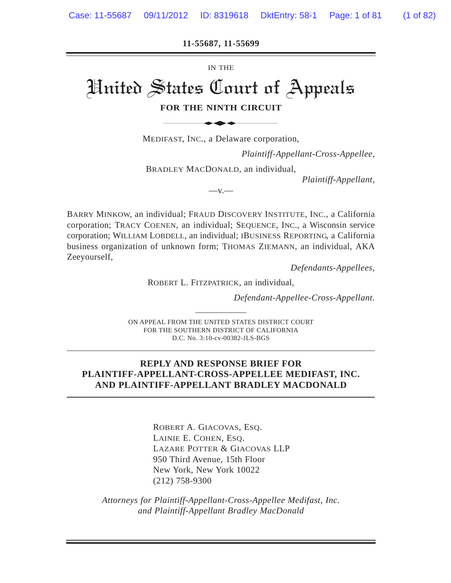**11-55687, 11-55699**

IN THE

# United States Court of Appeals **FOR THE NINTH CIRCUIT** IN THE<br>
States Court of<br>
FAST, INC., a Delaware corpor

MEDIFAST, INC., a Delaware corporation,

*Plaintiff-Appellant-Cross-Appellee,*

BRADLEY MACDONALD, an individual,

 $-V.$ 

*Plaintiff-Appellant,*

BARRY MINKOW, an individual; FRAUD DISCOVERY INSTITUTE, INC., a California corporation; TRACY COENEN, an individual; SEQUENCE, INC., a Wisconsin service corporation; WILLIAM LOBDELL, an individual; IBUSINESS REPORTING, a California business organization of unknown form; THOMAS ZIEMANN, an individual, AKA Zeeyourself,

*Defendants-Appellees,*

ROBERT L. FITZPATRICK, an individual,

*Defendant-Appellee-Cross-Appellant.*

ON APPEAL FROM THE UNITED STATES DISTRICT COURT FOR THE SOUTHERN DISTRICT OF CALIFORNIA D.C. No. 3:10-cv-00382-JLS-BGS

#### **REPLY AND RESPONSE BRIEF FOR PLAINTIFF-APPELLANT-CROSS-APPELLEE MEDIFAST, INC. AND PLAINTIFF-APPELLANT BRADLEY MACDONALD**

ROBERT A. GIACOVAS, ESQ. LAINIE E. COHEN, ESQ. LAZARE POTTER & GIACOVAS LLP 950 Third Avenue, 15th Floor New York, New York 10022 (212) 758-9300

*Attorneys for Plaintiff-Appellant-Cross-Appellee Medifast, Inc. and Plaintiff-Appellant Bradley MacDonald*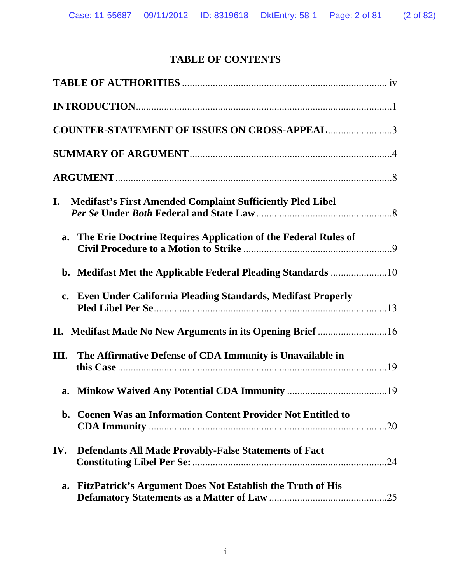# **TABLE OF CONTENTS**

| <b>COUNTER-STATEMENT OF ISSUES ON CROSS-APPEAL 3</b>                    |  |
|-------------------------------------------------------------------------|--|
|                                                                         |  |
|                                                                         |  |
| <b>Medifast's First Amended Complaint Sufficiently Pled Libel</b><br>I. |  |
| a. The Erie Doctrine Requires Application of the Federal Rules of       |  |
|                                                                         |  |
| c. Even Under California Pleading Standards, Medifast Properly          |  |
| II. Medifast Made No New Arguments in its Opening Brief 16              |  |
| The Affirmative Defense of CDA Immunity is Unavailable in<br>Ш.         |  |
| a.                                                                      |  |
| b. Coenen Was an Information Content Provider Not Entitled to           |  |
| IV.<br><b>Defendants All Made Provably-False Statements of Fact</b>     |  |
| FitzPatrick's Argument Does Not Establish the Truth of His<br>a.        |  |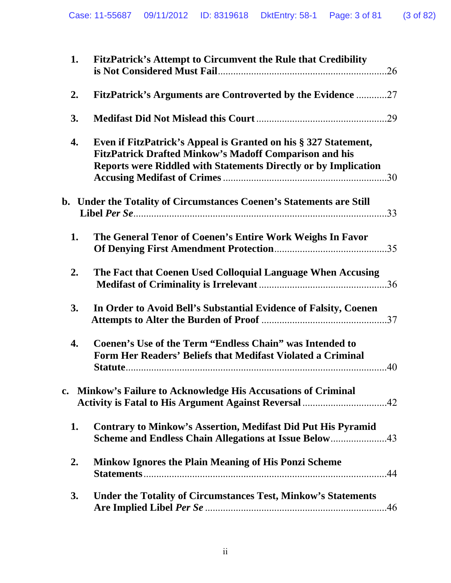| 1. | FitzPatrick's Attempt to Circumvent the Rule that Credibility<br>.26                                                                                                                                       |
|----|------------------------------------------------------------------------------------------------------------------------------------------------------------------------------------------------------------|
| 2. | <b>FitzPatrick's Arguments are Controverted by the Evidence 27</b>                                                                                                                                         |
| 3. |                                                                                                                                                                                                            |
| 4. | Even if FitzPatrick's Appeal is Granted on his § 327 Statement,<br><b>FitzPatrick Drafted Minkow's Madoff Comparison and his</b><br><b>Reports were Riddled with Statements Directly or by Implication</b> |
|    | b. Under the Totality of Circumstances Coenen's Statements are Still                                                                                                                                       |
| 1. | The General Tenor of Coenen's Entire Work Weighs In Favor                                                                                                                                                  |
| 2. | The Fact that Coenen Used Colloquial Language When Accusing                                                                                                                                                |
| 3. | In Order to Avoid Bell's Substantial Evidence of Falsity, Coenen                                                                                                                                           |
| 4. | <b>Coenen's Use of the Term "Endless Chain" was Intended to</b><br>Form Her Readers' Beliefs that Medifast Violated a Criminal<br>.40                                                                      |
|    | c. Minkow's Failure to Acknowledge His Accusations of Criminal                                                                                                                                             |
| 1. | <b>Contrary to Minkow's Assertion, Medifast Did Put His Pyramid</b><br>Scheme and Endless Chain Allegations at Issue Below43                                                                               |
| 2. | <b>Minkow Ignores the Plain Meaning of His Ponzi Scheme</b>                                                                                                                                                |
| 3. | <b>Under the Totality of Circumstances Test, Minkow's Statements</b><br>.46                                                                                                                                |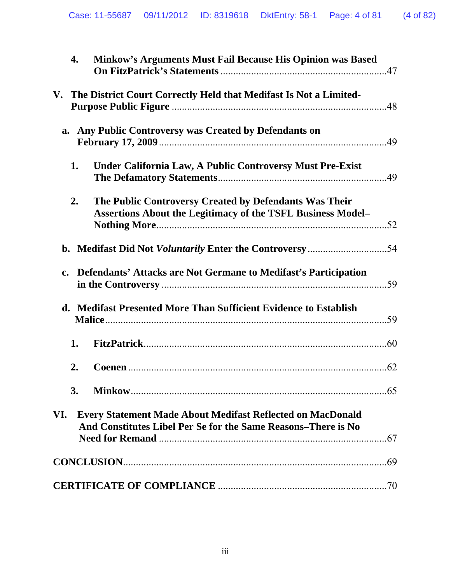|                | 4.<br>Minkow's Arguments Must Fail Because His Opinion was Based                                                                   |  |
|----------------|------------------------------------------------------------------------------------------------------------------------------------|--|
|                | V. The District Court Correctly Held that Medifast Is Not a Limited-                                                               |  |
|                | a. Any Public Controversy was Created by Defendants on                                                                             |  |
|                | 1.<br>Under California Law, A Public Controversy Must Pre-Exist                                                                    |  |
|                | 2.<br>The Public Controversy Created by Defendants Was Their<br><b>Assertions About the Legitimacy of the TSFL Business Model-</b> |  |
|                |                                                                                                                                    |  |
| $\mathbf{c}$ . | Defendants' Attacks are Not Germane to Medifast's Participation                                                                    |  |
|                | d. Medifast Presented More Than Sufficient Evidence to Establish                                                                   |  |
|                | 1.                                                                                                                                 |  |
|                | 2.                                                                                                                                 |  |
|                | 3.                                                                                                                                 |  |
| VI.            | <b>Every Statement Made About Medifast Reflected on MacDonald</b><br>And Constitutes Libel Per Se for the Same Reasons-There is No |  |
|                |                                                                                                                                    |  |
|                |                                                                                                                                    |  |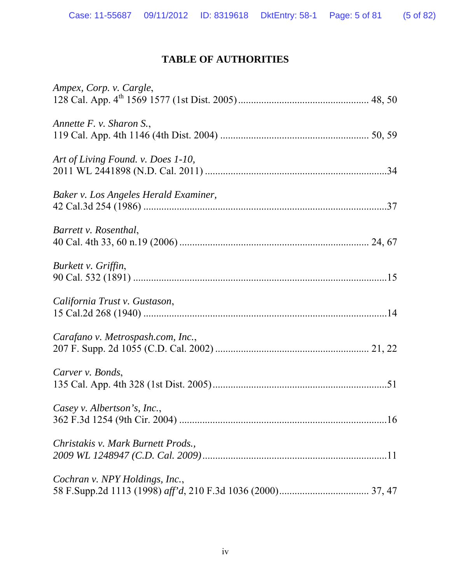# **TABLE OF AUTHORITIES**

<span id="page-4-0"></span>

| Ampex, Corp. v. Cargle,               |
|---------------------------------------|
| Annette F. v. Sharon S.,              |
| Art of Living Found. v. Does 1-10,    |
| Baker v. Los Angeles Herald Examiner, |
| Barrett v. Rosenthal,                 |
| Burkett v. Griffin,                   |
| California Trust v. Gustason,         |
| Carafano v. Metrospash.com, Inc.,     |
| Carver v. Bonds,                      |
| Casey v. Albertson's, Inc.,           |
| Christakis v. Mark Burnett Prods.,    |
| Cochran v. NPY Holdings, Inc.,        |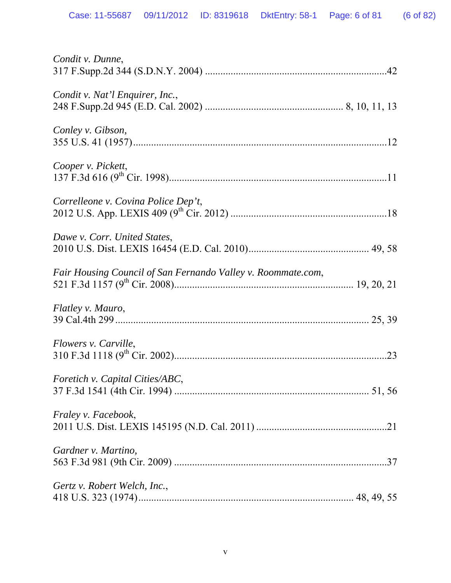| Condit v. Dunne,                                             |  |
|--------------------------------------------------------------|--|
| Condit v. Nat'l Enquirer, Inc.,                              |  |
| Conley v. Gibson,                                            |  |
| Cooper v. Pickett,                                           |  |
| Correlleone v. Covina Police Dep't,                          |  |
| Dawe v. Corr. United States,                                 |  |
| Fair Housing Council of San Fernando Valley v. Roommate.com, |  |
| Flatley v. Mauro,                                            |  |
| Flowers v. Carville,                                         |  |
| Foretich v. Capital Cities/ABC,                              |  |
| Fraley v. Facebook,                                          |  |
| Gardner v. Martino,                                          |  |
| Gertz v. Robert Welch, Inc.,                                 |  |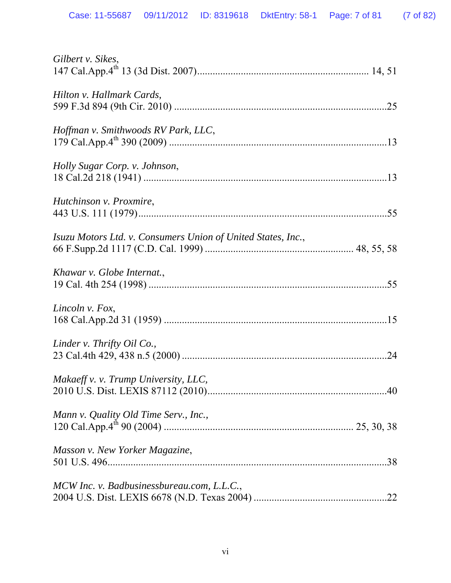| Gilbert v. Sikes,                                            |
|--------------------------------------------------------------|
| Hilton v. Hallmark Cards,                                    |
| Hoffman v. Smithwoods RV Park, LLC,                          |
| Holly Sugar Corp. v. Johnson,                                |
| Hutchinson v. Proxmire,                                      |
| Isuzu Motors Ltd. v. Consumers Union of United States, Inc., |
| Khawar v. Globe Internat.,                                   |
| Lincoln v. Fox,                                              |
| Linder v. Thrifty Oil Co.,                                   |
| Makaeff v. v. Trump University, LLC,                         |
| Mann v. Quality Old Time Serv., Inc.,                        |
| Masson v. New Yorker Magazine,                               |
| MCW Inc. v. Badbusinessbureau.com, L.L.C.,                   |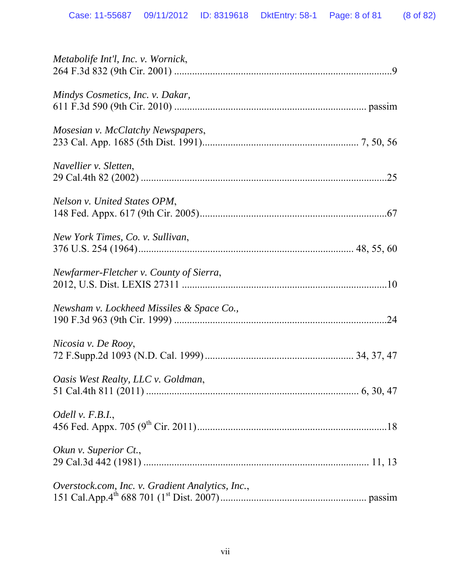| Metabolife Int'l, Inc. v. Wornick,               |
|--------------------------------------------------|
| Mindys Cosmetics, Inc. v. Dakar,                 |
| Mosesian v. McClatchy Newspapers,                |
| Navellier v. Sletten,                            |
| Nelson v. United States OPM,                     |
| New York Times, Co. v. Sullivan,                 |
| Newfarmer-Fletcher v. County of Sierra,          |
| Newsham v. Lockheed Missiles & Space Co.,        |
| Nicosia v. De Rooy,                              |
| Oasis West Realty, LLC v. Goldman,               |
| Odell v. $F.B.I.,$                               |
| Okun v. Superior Ct.,                            |
| Overstock.com, Inc. v. Gradient Analytics, Inc., |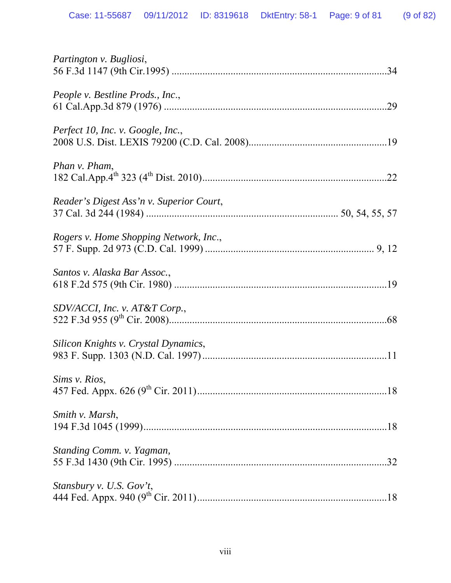| Partington v. Bugliosi,                  |
|------------------------------------------|
| People v. Bestline Prods., Inc.,<br>.29  |
| Perfect 10, Inc. v. Google, Inc.,        |
| Phan <i>v</i> . Pham,                    |
| Reader's Digest Ass'n v. Superior Court, |
| Rogers v. Home Shopping Network, Inc.,   |
| Santos v. Alaska Bar Assoc.,             |
| SDV/ACCI, Inc. v. AT&T Corp.,            |
| Silicon Knights v. Crystal Dynamics,     |
| Sims v. Rios,                            |
| Smith v. Marsh,                          |
| Standing Comm. v. Yagman,                |
| Stansbury v. U.S. Gov't,                 |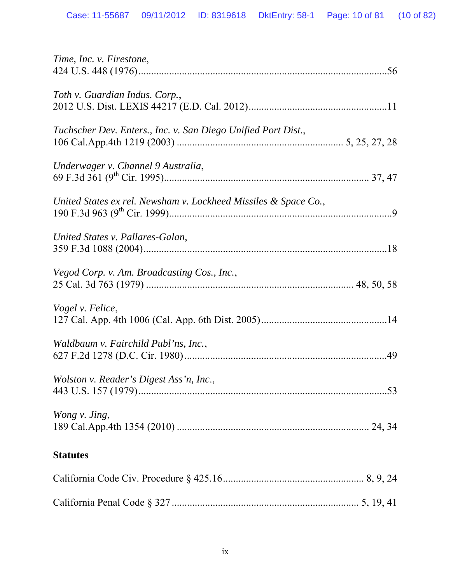| Time, Inc. v. Firestone,                                        |  |
|-----------------------------------------------------------------|--|
| Toth v. Guardian Indus. Corp.,                                  |  |
| Tuchscher Dev. Enters., Inc. v. San Diego Unified Port Dist.,   |  |
| Underwager v. Channel 9 Australia,                              |  |
| United States ex rel. Newsham v. Lockheed Missiles & Space Co., |  |
| United States v. Pallares-Galan,                                |  |
| Vegod Corp. v. Am. Broadcasting Cos., Inc.,                     |  |
| Vogel v. Felice,                                                |  |
| Waldbaum v. Fairchild Publ'ns, Inc.,                            |  |
| Wolston v. Reader's Digest Ass'n, Inc.,                         |  |
| Wong v. Jing,                                                   |  |
| <b>Statutes</b>                                                 |  |
|                                                                 |  |
|                                                                 |  |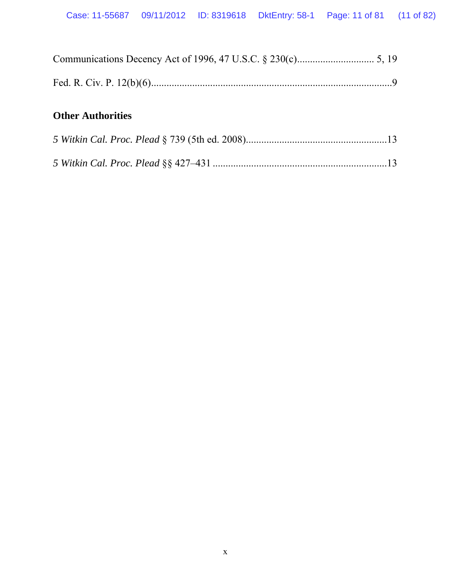| <b>Other Authorities</b> |  |
|--------------------------|--|
|                          |  |
|                          |  |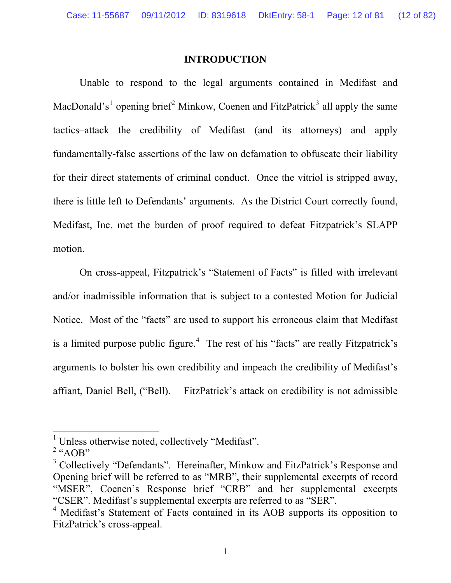#### **INTRODUCTION**

<span id="page-11-0"></span>Unable to respond to the legal arguments contained in Medifast and MacDonald's<sup>[1](#page-11-1)</sup> opening brief<sup>[2](#page-11-2)</sup> Minkow, Coenen and FitzPatrick<sup>[3](#page-11-3)</sup> all apply the same tactics–attack the credibility of Medifast (and its attorneys) and apply fundamentally-false assertions of the law on defamation to obfuscate their liability for their direct statements of criminal conduct. Once the vitriol is stripped away, there is little left to Defendants' arguments. As the District Court correctly found, Medifast, Inc. met the burden of proof required to defeat Fitzpatrick's SLAPP motion.

On cross-appeal, Fitzpatrick's "Statement of Facts" is filled with irrelevant and/or inadmissible information that is subject to a contested Motion for Judicial Notice. Most of the "facts" are used to support his erroneous claim that Medifast is a limited purpose public figure.<sup>[4](#page-11-4)</sup> The rest of his "facts" are really Fitzpatrick's arguments to bolster his own credibility and impeach the credibility of Medifast's affiant, Daniel Bell, ("Bell). FitzPatrick's attack on credibility is not admissible

<span id="page-11-1"></span><sup>&</sup>lt;sup>1</sup> Unless otherwise noted, collectively "Medifast".

<span id="page-11-2"></span> $2 \text{``AOB''}$ 

<span id="page-11-3"></span><sup>&</sup>lt;sup>3</sup> Collectively "Defendants". Hereinafter, Minkow and FitzPatrick's Response and Opening brief will be referred to as "MRB", their supplemental excerpts of record "MSER", Coenen's Response brief "CRB" and her supplemental excerpts "CSER". Medifast's supplemental excerpts are referred to as "SER".

<span id="page-11-4"></span><sup>&</sup>lt;sup>4</sup> Medifast's Statement of Facts contained in its AOB supports its opposition to FitzPatrick's cross-appeal.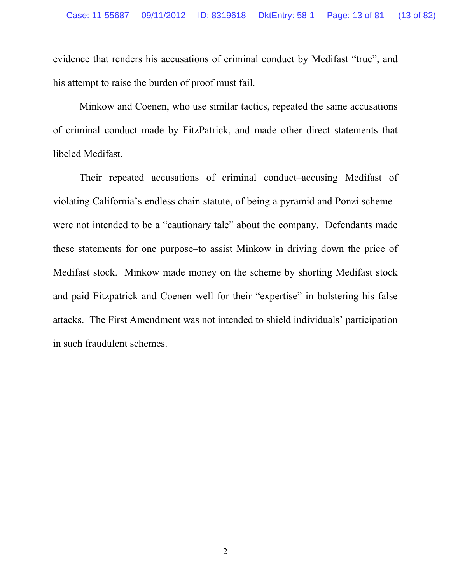evidence that renders his accusations of criminal conduct by Medifast "true", and his attempt to raise the burden of proof must fail.

Minkow and Coenen, who use similar tactics, repeated the same accusations of criminal conduct made by FitzPatrick, and made other direct statements that libeled Medifast.

Their repeated accusations of criminal conduct–accusing Medifast of violating California's endless chain statute, of being a pyramid and Ponzi scheme– were not intended to be a "cautionary tale" about the company. Defendants made these statements for one purpose–to assist Minkow in driving down the price of Medifast stock. Minkow made money on the scheme by shorting Medifast stock and paid Fitzpatrick and Coenen well for their "expertise" in bolstering his false attacks. The First Amendment was not intended to shield individuals' participation in such fraudulent schemes.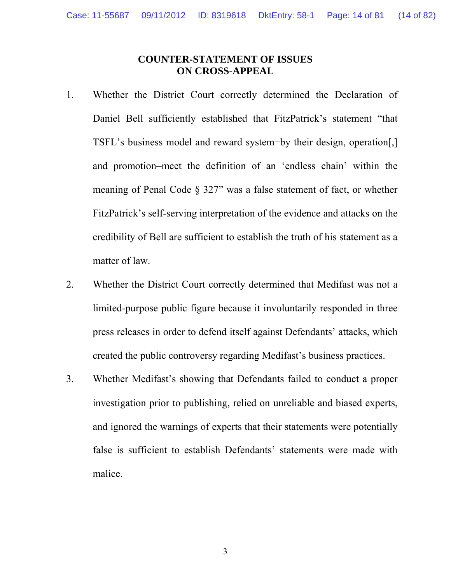### **COUNTER-STATEMENT OF ISSUES ON CROSS-APPEAL**

- <span id="page-13-0"></span>1. Whether the District Court correctly determined the Declaration of Daniel Bell sufficiently established that FitzPatrick's statement "that TSFL's business model and reward system−by their design, operation[,] and promotion–meet the definition of an 'endless chain' within the meaning of Penal Code § 327" was a false statement of fact, or whether FitzPatrick's self-serving interpretation of the evidence and attacks on the credibility of Bell are sufficient to establish the truth of his statement as a matter of law.
- 2. Whether the District Court correctly determined that Medifast was not a limited-purpose public figure because it involuntarily responded in three press releases in order to defend itself against Defendants' attacks, which created the public controversy regarding Medifast's business practices.
- 3. Whether Medifast's showing that Defendants failed to conduct a proper investigation prior to publishing, relied on unreliable and biased experts, and ignored the warnings of experts that their statements were potentially false is sufficient to establish Defendants' statements were made with malice.

3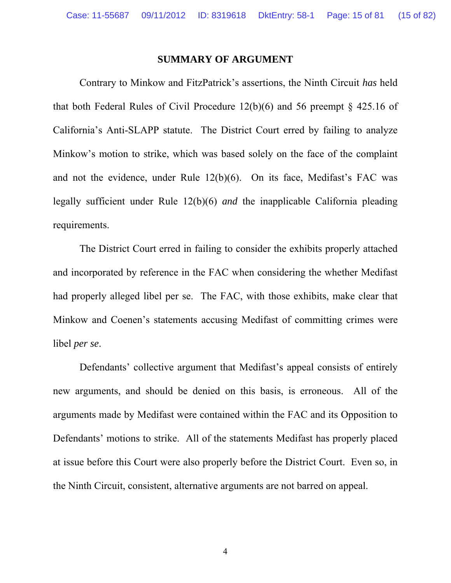#### **SUMMARY OF ARGUMENT**

<span id="page-14-0"></span>Contrary to Minkow and FitzPatrick's assertions, the Ninth Circuit *has* held that both Federal Rules of Civil Procedure  $12(b)(6)$  and 56 preempt § 425.16 of California's Anti-SLAPP statute. The District Court erred by failing to analyze Minkow's motion to strike, which was based solely on the face of the complaint and not the evidence, under Rule 12(b)(6). On its face, Medifast's FAC was legally sufficient under Rule 12(b)(6) *and* the inapplicable California pleading requirements.

The District Court erred in failing to consider the exhibits properly attached and incorporated by reference in the FAC when considering the whether Medifast had properly alleged libel per se. The FAC, with those exhibits, make clear that Minkow and Coenen's statements accusing Medifast of committing crimes were libel *per se*.

Defendants' collective argument that Medifast's appeal consists of entirely new arguments, and should be denied on this basis, is erroneous. All of the arguments made by Medifast were contained within the FAC and its Opposition to Defendants' motions to strike. All of the statements Medifast has properly placed at issue before this Court were also properly before the District Court. Even so, in the Ninth Circuit, consistent, alternative arguments are not barred on appeal.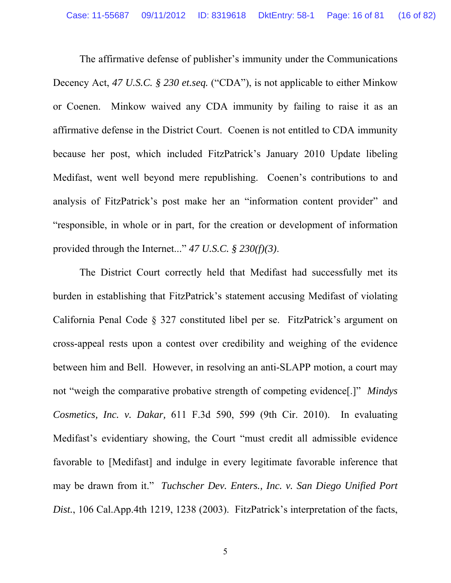The affirmative defense of publisher's immunity under the Communications Decency Act, *47 U.S.C. § 230 et.seq.* ("CDA"), is not applicable to either Minkow or Coenen. Minkow waived any CDA immunity by failing to raise it as an affirmative defense in the District Court. Coenen is not entitled to CDA immunity because her post, which included FitzPatrick's January 2010 Update libeling Medifast, went well beyond mere republishing. Coenen's contributions to and analysis of FitzPatrick's post make her an "information content provider" and "responsible, in whole or in part, for the creation or development of information provided through the Internet..." *47 U.S.C. § 230(f)(3)*.

 The District Court correctly held that Medifast had successfully met its burden in establishing that FitzPatrick's statement accusing Medifast of violating California Penal Code § 327 constituted libel per se. FitzPatrick's argument on cross-appeal rests upon a contest over credibility and weighing of the evidence between him and Bell. However, in resolving an anti-SLAPP motion, a court may not "weigh the comparative probative strength of competing evidence[.]" *Mindys Cosmetics, Inc. v. Dakar,* 611 F.3d 590, 599 (9th Cir. 2010). In evaluating Medifast's evidentiary showing, the Court "must credit all admissible evidence favorable to [Medifast] and indulge in every legitimate favorable inference that may be drawn from it." *Tuchscher Dev. Enters., Inc. v. San Diego Unified Port Dist.*, 106 Cal.App.4th 1219, 1238 (2003). FitzPatrick's interpretation of the facts,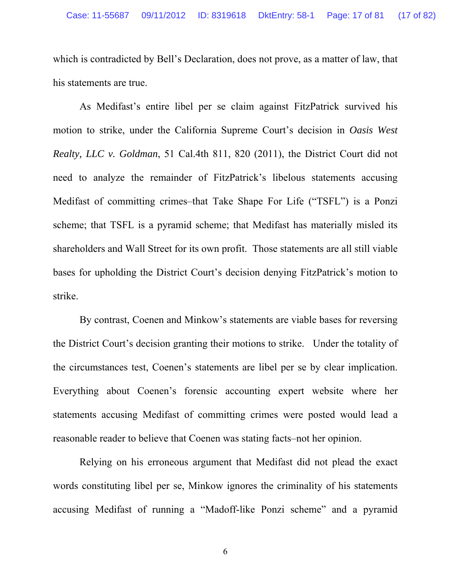which is contradicted by Bell's Declaration, does not prove, as a matter of law, that his statements are true.

As Medifast's entire libel per se claim against FitzPatrick survived his motion to strike, under the California Supreme Court's decision in *Oasis West Realty, LLC v. Goldman*, 51 Cal.4th 811, 820 (2011), the District Court did not need to analyze the remainder of FitzPatrick's libelous statements accusing Medifast of committing crimes–that Take Shape For Life ("TSFL") is a Ponzi scheme; that TSFL is a pyramid scheme; that Medifast has materially misled its shareholders and Wall Street for its own profit. Those statements are all still viable bases for upholding the District Court's decision denying FitzPatrick's motion to strike.

By contrast, Coenen and Minkow's statements are viable bases for reversing the District Court's decision granting their motions to strike. Under the totality of the circumstances test, Coenen's statements are libel per se by clear implication. Everything about Coenen's forensic accounting expert website where her statements accusing Medifast of committing crimes were posted would lead a reasonable reader to believe that Coenen was stating facts–not her opinion.

Relying on his erroneous argument that Medifast did not plead the exact words constituting libel per se, Minkow ignores the criminality of his statements accusing Medifast of running a "Madoff-like Ponzi scheme" and a pyramid

6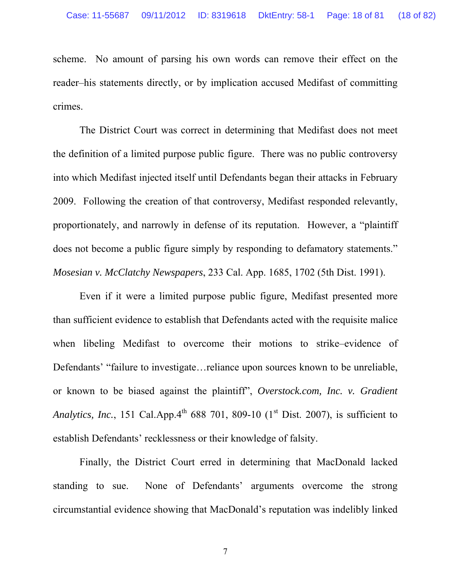scheme. No amount of parsing his own words can remove their effect on the reader–his statements directly, or by implication accused Medifast of committing crimes.

The District Court was correct in determining that Medifast does not meet the definition of a limited purpose public figure. There was no public controversy into which Medifast injected itself until Defendants began their attacks in February 2009. Following the creation of that controversy, Medifast responded relevantly, proportionately, and narrowly in defense of its reputation. However, a "plaintiff does not become a public figure simply by responding to defamatory statements." *Mosesian v. McClatchy Newspapers*, 233 Cal. App. 1685, 1702 (5th Dist. 1991).

Even if it were a limited purpose public figure, Medifast presented more than sufficient evidence to establish that Defendants acted with the requisite malice when libeling Medifast to overcome their motions to strike–evidence of Defendants' "failure to investigate... reliance upon sources known to be unreliable, or known to be biased against the plaintiff", *Overstock.com, Inc. v. Gradient Analytics, Inc.*, 151 Cal.App.4<sup>th</sup> 688 701, 809-10  $(1<sup>st</sup> Dist. 2007)$ , is sufficient to establish Defendants' recklessness or their knowledge of falsity.

 Finally, the District Court erred in determining that MacDonald lacked standing to sue. None of Defendants' arguments overcome the strong circumstantial evidence showing that MacDonald's reputation was indelibly linked

7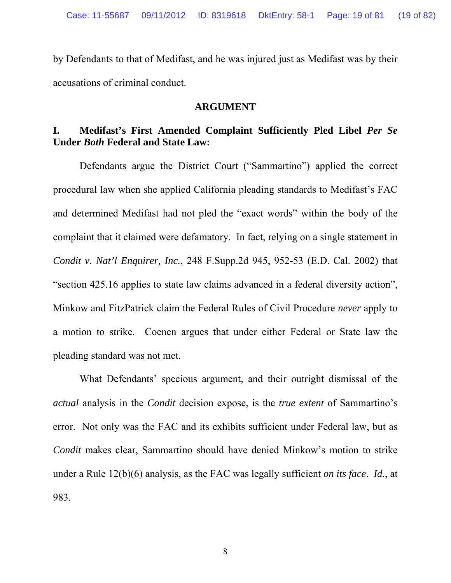by Defendants to that of Medifast, and he was injured just as Medifast was by their accusations of criminal conduct.

#### **ARGUMENT**

# <span id="page-18-1"></span><span id="page-18-0"></span>**I. Medifast's First Amended Complaint Sufficiently Pled Libel** *Per Se* **Under** *Both* **Federal and State Law:**

Defendants argue the District Court ("Sammartino") applied the correct procedural law when she applied California pleading standards to Medifast's FAC and determined Medifast had not pled the "exact words" within the body of the complaint that it claimed were defamatory. In fact, relying on a single statement in *Condit v. Nat'l Enquirer, Inc.*, 248 F.Supp.2d 945, 952-53 (E.D. Cal. 2002) that "section 425.16 applies to state law claims advanced in a federal diversity action", Minkow and FitzPatrick claim the Federal Rules of Civil Procedure *never* apply to a motion to strike. Coenen argues that under either Federal or State law the pleading standard was not met.

What Defendants' specious argument, and their outright dismissal of the *actual* analysis in the *Condit* decision expose, is the *true extent* of Sammartino's error. Not only was the FAC and its exhibits sufficient under Federal law, but as *Condit* makes clear, Sammartino should have denied Minkow's motion to strike under a Rule 12(b)(6) analysis, as the FAC was legally sufficient *on its face*. *Id.*, at 983.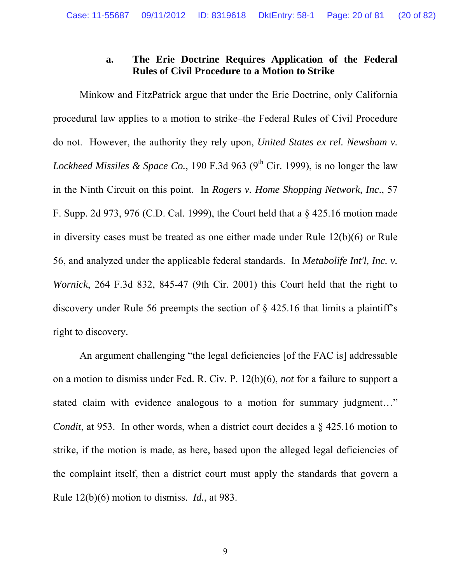# **a. The Erie Doctrine Requires Application of the Federal Rules of Civil Procedure to a Motion to Strike**

<span id="page-19-0"></span>Minkow and FitzPatrick argue that under the Erie Doctrine, only California procedural law applies to a motion to strike–the Federal Rules of Civil Procedure do not. However, the authority they rely upon, *United States ex rel. Newsham v. Lockheed Missiles & Space Co.*, 190 F.3d 963 (9<sup>th</sup> Cir. 1999), is no longer the law in the Ninth Circuit on this point.In *Rogers v. Home Shopping Network, Inc*., 57 F. Supp. 2d 973, 976 (C.D. Cal. 1999), the Court held that a § 425.16 motion made in diversity cases must be treated as one either made under Rule 12(b)(6) or Rule 56, and analyzed under the applicable federal standards. In *Metabolife Int'l, Inc. v. Wornick*, 264 F.3d 832, 845-47 (9th Cir. 2001) this Court held that the right to discovery under Rule 56 preempts the section of § 425.16 that limits a plaintiff's right to discovery.

An argument challenging "the legal deficiencies [of the FAC is] addressable on a motion to dismiss under Fed. R. Civ. P. 12(b)(6), *not* for a failure to support a stated claim with evidence analogous to a motion for summary judgment…" *Condit*, at 953. In other words, when a district court decides a  $\S$  425.16 motion to strike, if the motion is made, as here, based upon the alleged legal deficiencies of the complaint itself, then a district court must apply the standards that govern a Rule 12(b)(6) motion to dismiss. *Id.*, at 983.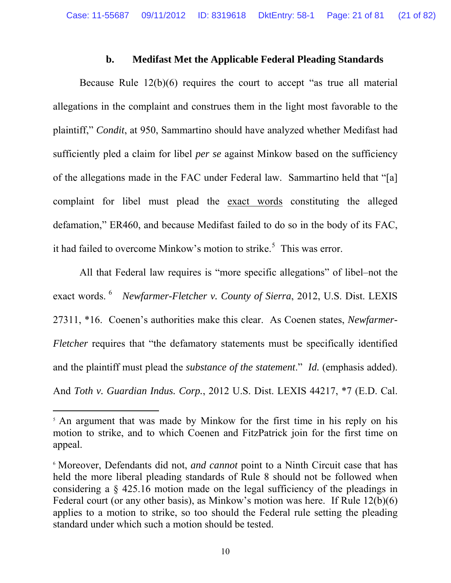### **b. Medifast Met the Applicable Federal Pleading Standards**

<span id="page-20-0"></span>Because Rule 12(b)(6) requires the court to accept "as true all material allegations in the complaint and construes them in the light most favorable to the plaintiff," *Condit*, at 950, Sammartino should have analyzed whether Medifast had sufficiently pled a claim for libel *per se* against Minkow based on the sufficiency of the allegations made in the FAC under Federal law. Sammartino held that "[a] complaint for libel must plead the exact words constituting the alleged defamation," ER460, and because Medifast failed to do so in the body of its FAC, it had failed to overcome Minkow's motion to strike.<sup>[5](#page-20-1)</sup> This was error.

All that Federal law requires is "more specific allegations" of libel–not the exact words. <sup>[6](#page-20-2)</sup> Newfarmer-Fletcher v. County of Sierra, 2012, U.S. Dist. LEXIS 27311, \*16. Coenen's authorities make this clear. As Coenen states, *Newfarmer-Fletcher* requires that "the defamatory statements must be specifically identified and the plaintiff must plead the *substance of the statement*." *Id.* (emphasis added). And *Toth v. Guardian Indus. Corp.*, 2012 U.S. Dist. LEXIS 44217, \*7 (E.D. Cal.

<span id="page-20-1"></span><sup>&</sup>lt;sup>5</sup> An argument that was made by Minkow for the first time in his reply on his motion to strike, and to which Coenen and FitzPatrick join for the first time on appeal.

<span id="page-20-2"></span><sup>6</sup> Moreover, Defendants did not, *and cannot* point to a Ninth Circuit case that has held the more liberal pleading standards of Rule 8 should not be followed when considering a § 425.16 motion made on the legal sufficiency of the pleadings in Federal court (or any other basis), as Minkow's motion was here. If Rule 12(b)(6) applies to a motion to strike, so too should the Federal rule setting the pleading standard under which such a motion should be tested.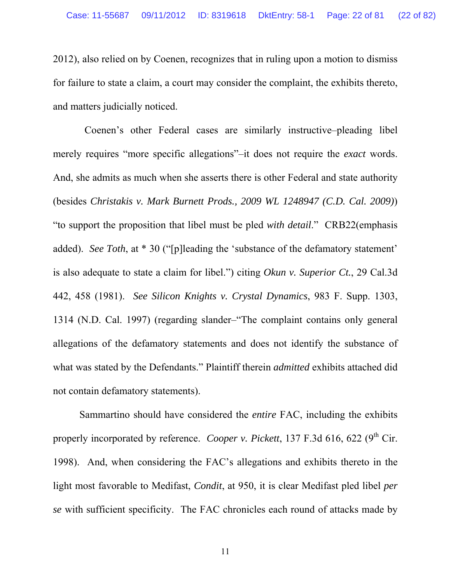2012), also relied on by Coenen, recognizes that in ruling upon a motion to dismiss for failure to state a claim, a court may consider the complaint, the exhibits thereto, and matters judicially noticed.

 Coenen's other Federal cases are similarly instructive–pleading libel merely requires "more specific allegations"–it does not require the *exact* words. And, she admits as much when she asserts there is other Federal and state authority (besides *Christakis v. Mark Burnett Prods., 2009 WL 1248947 (C.D. Cal. 2009)*) "to support the proposition that libel must be pled *with detail*." CRB22(emphasis added). *See Toth*, at \* 30 ("[p]leading the 'substance of the defamatory statement' is also adequate to state a claim for libel.") citing *Okun v. Superior Ct.*, 29 Cal.3d 442, 458 (1981). *See Silicon Knights v. Crystal Dynamics*, 983 F. Supp. 1303, 1314 (N.D. Cal. 1997) (regarding slander–"The complaint contains only general allegations of the defamatory statements and does not identify the substance of what was stated by the Defendants." Plaintiff therein *admitted* exhibits attached did not contain defamatory statements).

Sammartino should have considered the *entire* FAC, including the exhibits properly incorporated by reference. *Cooper v. Pickett*, 137 F.3d 616, 622 (9<sup>th</sup> Cir. 1998). And, when considering the FAC's allegations and exhibits thereto in the light most favorable to Medifast, *Condit*, at 950, it is clear Medifast pled libel *per se* with sufficient specificity. The FAC chronicles each round of attacks made by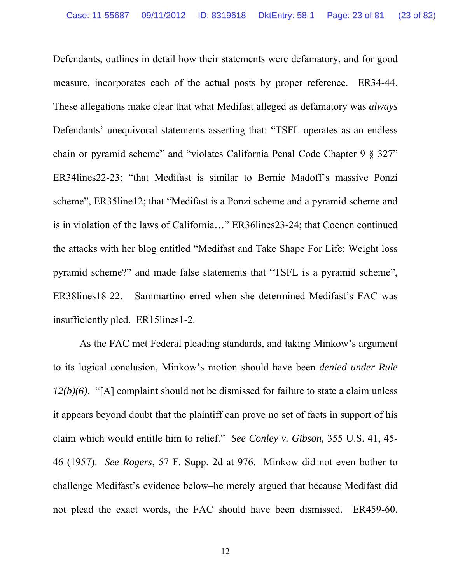Defendants, outlines in detail how their statements were defamatory, and for good measure, incorporates each of the actual posts by proper reference. ER34-44. These allegations make clear that what Medifast alleged as defamatory was *always* Defendants' unequivocal statements asserting that: "TSFL operates as an endless chain or pyramid scheme" and "violates California Penal Code Chapter 9 § 327" ER34lines22-23; "that Medifast is similar to Bernie Madoff's massive Ponzi scheme", ER35line12; that "Medifast is a Ponzi scheme and a pyramid scheme and is in violation of the laws of California…" ER36lines23-24; that Coenen continued the attacks with her blog entitled "Medifast and Take Shape For Life: Weight loss pyramid scheme?" and made false statements that "TSFL is a pyramid scheme", ER38lines18-22. Sammartino erred when she determined Medifast's FAC was insufficiently pled. ER15lines1-2.

As the FAC met Federal pleading standards, and taking Minkow's argument to its logical conclusion, Minkow's motion should have been *denied under Rule 12(b)(6)*. "[A] complaint should not be dismissed for failure to state a claim unless it appears beyond doubt that the plaintiff can prove no set of facts in support of his claim which would entitle him to relief." *See Conley v. Gibson,* 355 U.S. 41, 45- 46 (1957). *See Rogers*, 57 F. Supp. 2d at 976. Minkow did not even bother to challenge Medifast's evidence below–he merely argued that because Medifast did not plead the exact words, the FAC should have been dismissed. ER459-60.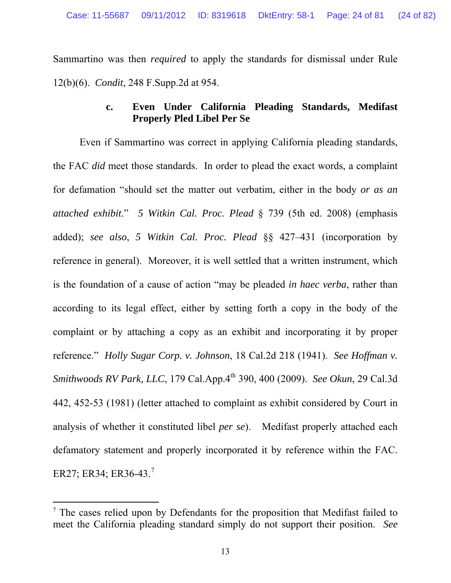Sammartino was then *required* to apply the standards for dismissal under Rule 12(b)(6). *Condit*, 248 F.Supp.2d at 954.

# **c. Even Under California Pleading Standards, Medifast Properly Pled Libel Per Se**

<span id="page-23-0"></span>Even if Sammartino was correct in applying California pleading standards, the FAC *did* meet those standards. In order to plead the exact words, a complaint for defamation "should set the matter out verbatim, either in the body *or as an attached exhibit*." *5 Witkin Cal. Proc. Plead* § 739 (5th ed. 2008) (emphasis added); *see also*, *5 Witkin Cal. Proc. Plead* §§ 427–431 (incorporation by reference in general). Moreover, it is well settled that a written instrument, which is the foundation of a cause of action "may be pleaded *in haec verba*, rather than according to its legal effect, either by setting forth a copy in the body of the complaint or by attaching a copy as an exhibit and incorporating it by proper reference." *Holly Sugar Corp. v. Johnson*, 18 Cal.2d 218 (1941). *See Hoffman v. Smithwoods RV Park, LLC*, 179 Cal.App.4th 390, 400 (2009). *See Okun*, 29 Cal.3d 442, 452-53 (1981) (letter attached to complaint as exhibit considered by Court in analysis of whether it constituted libel *per se*). Medifast properly attached each defamatory statement and properly incorporated it by reference within the FAC. ER2[7](#page-23-1); ER34; ER36-43.<sup>7</sup>

<span id="page-23-1"></span><sup>&</sup>lt;sup>7</sup> The cases relied upon by Defendants for the proposition that Medifast failed to meet the California pleading standard simply do not support their position. *See*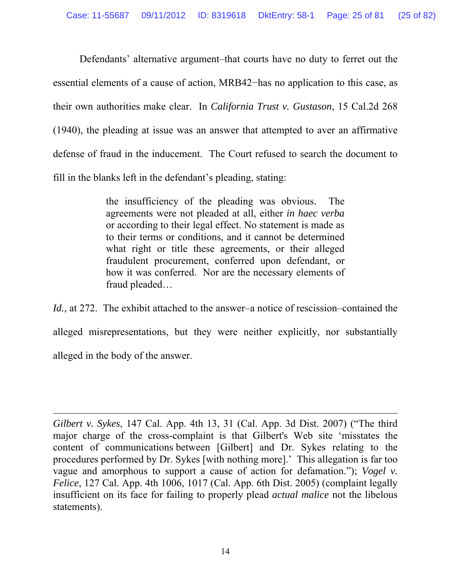Defendants' alternative argument–that courts have no duty to ferret out the essential elements of a cause of action, MRB42−has no application to this case, as their own authorities make clear. In *California Trust v. Gustason*, 15 Cal.2d 268 (1940), the pleading at issue was an answer that attempted to aver an affirmative defense of fraud in the inducement. The Court refused to search the document to fill in the blanks left in the defendant's pleading, stating:

> the insufficiency of the pleading was obvious. The agreements were not pleaded at all, either *in haec verba* or according to their legal effect. No statement is made as to their terms or conditions, and it cannot be determined what right or title these agreements, or their alleged fraudulent procurement, conferred upon defendant, or how it was conferred. Nor are the necessary elements of fraud pleaded…

*Id.*, at 272. The exhibit attached to the answer–a notice of rescission–contained the alleged misrepresentations, but they were neither explicitly, nor substantially alleged in the body of the answer.

*Gilbert v. Sykes*, 147 Cal. App. 4th 13, 31 (Cal. App. 3d Dist. 2007) ("The third major charge of the cross-complaint is that Gilbert's Web site 'misstates the content of communications between [Gilbert] and Dr. Sykes relating to the procedures performed by Dr. Sykes [with nothing more].' This allegation is far too vague and amorphous to support a cause of action for defamation."); *Vogel v. Felice*, 127 Cal. App. 4th 1006, 1017 (Cal. App. 6th Dist. 2005) (complaint legally insufficient on its face for failing to properly plead *actual malice* not the libelous statements).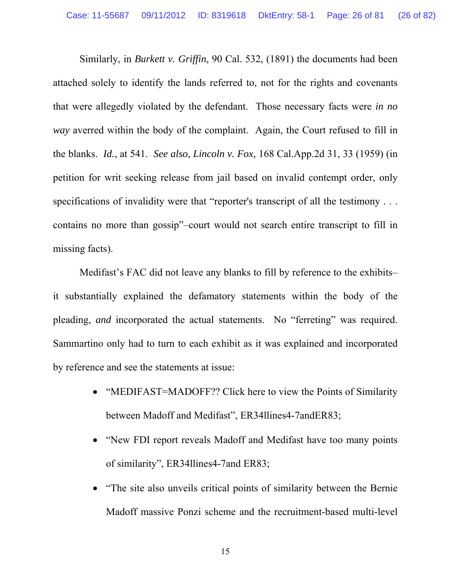Similarly, in *Burkett v. Griffin*, 90 Cal. 532, (1891) the documents had been attached solely to identify the lands referred to, not for the rights and covenants that were allegedly violated by the defendant. Those necessary facts were *in no way* averred within the body of the complaint. Again, the Court refused to fill in the blanks. *Id.*, at 541. *See also*, *Lincoln v. Fox*, 168 Cal.App.2d 31, 33 (1959) (in petition for writ seeking release from jail based on invalid contempt order, only specifications of invalidity were that "reporter's transcript of all the testimony . . . contains no more than gossip"–court would not search entire transcript to fill in missing facts).

Medifast's FAC did not leave any blanks to fill by reference to the exhibits– it substantially explained the defamatory statements within the body of the pleading, *and* incorporated the actual statements. No "ferreting" was required. Sammartino only had to turn to each exhibit as it was explained and incorporated by reference and see the statements at issue:

- "MEDIFAST=MADOFF?? Click here to view the Points of Similarity between Madoff and Medifast", ER34llines4-7andER83;
- "New FDI report reveals Madoff and Medifast have too many points of similarity", ER34llines4-7and ER83;
- "The site also unveils critical points of similarity between the Bernie Madoff massive Ponzi scheme and the recruitment-based multi-level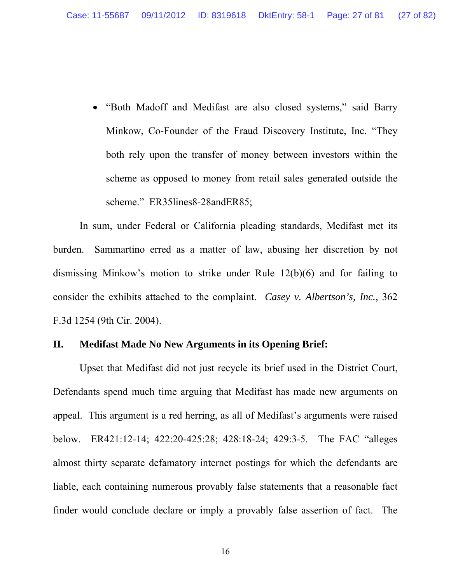"Both Madoff and Medifast are also closed systems," said Barry Minkow, Co-Founder of the Fraud Discovery Institute, Inc. "They both rely upon the transfer of money between investors within the scheme as opposed to money from retail sales generated outside the scheme." ER35lines8-28andER85;

In sum, under Federal or California pleading standards, Medifast met its burden. Sammartino erred as a matter of law, abusing her discretion by not dismissing Minkow's motion to strike under Rule 12(b)(6) and for failing to consider the exhibits attached to the complaint. *Casey v. Albertson's, Inc.*, 362 F.3d 1254 (9th Cir. 2004).

### <span id="page-26-0"></span>**II. Medifast Made No New Arguments in its Opening Brief:**

Upset that Medifast did not just recycle its brief used in the District Court, Defendants spend much time arguing that Medifast has made new arguments on appeal. This argument is a red herring, as all of Medifast's arguments were raised below. ER421:12-14; 422:20-425:28; 428:18-24; 429:3-5. The FAC "alleges almost thirty separate defamatory internet postings for which the defendants are liable, each containing numerous provably false statements that a reasonable fact finder would conclude declare or imply a provably false assertion of fact. The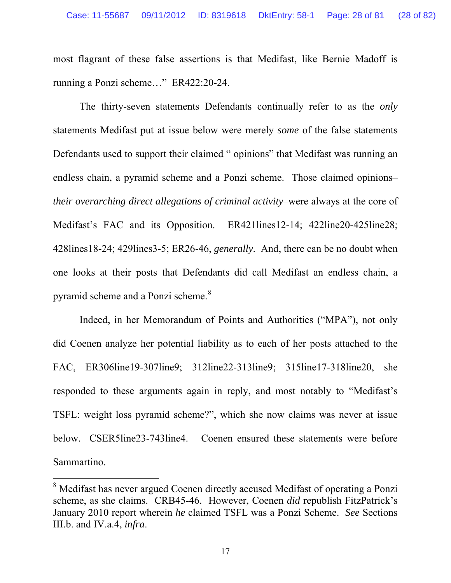most flagrant of these false assertions is that Medifast, like Bernie Madoff is running a Ponzi scheme…" ER422:20-24.

The thirty-seven statements Defendants continually refer to as the *only* statements Medifast put at issue below were merely *some* of the false statements Defendants used to support their claimed " opinions" that Medifast was running an endless chain, a pyramid scheme and a Ponzi scheme. Those claimed opinions– *their overarching direct allegations of criminal activity*–were always at the core of Medifast's FAC and its Opposition. ER421lines12-14; 422line20-425line28; 428lines18-24; 429lines3-5; ER26-46, *generally*. And, there can be no doubt when one looks at their posts that Defendants did call Medifast an endless chain, a pyramid scheme and a Ponzi scheme.<sup>[8](#page-27-0)</sup>

Indeed, in her Memorandum of Points and Authorities ("MPA"), not only did Coenen analyze her potential liability as to each of her posts attached to the FAC, ER306line19-307line9; 312line22-313line9; 315line17-318line20, she responded to these arguments again in reply, and most notably to "Medifast's TSFL: weight loss pyramid scheme?", which she now claims was never at issue below. CSER5line23-743line4. Coenen ensured these statements were before Sammartino.

<span id="page-27-0"></span><sup>&</sup>lt;sup>8</sup> Medifast has never argued Coenen directly accused Medifast of operating a Ponzi scheme, as she claims. CRB45-46. However, Coenen *did* republish FitzPatrick's January 2010 report wherein *he* claimed TSFL was a Ponzi Scheme. *See* Sections III.b. and IV.a.4, *infra*.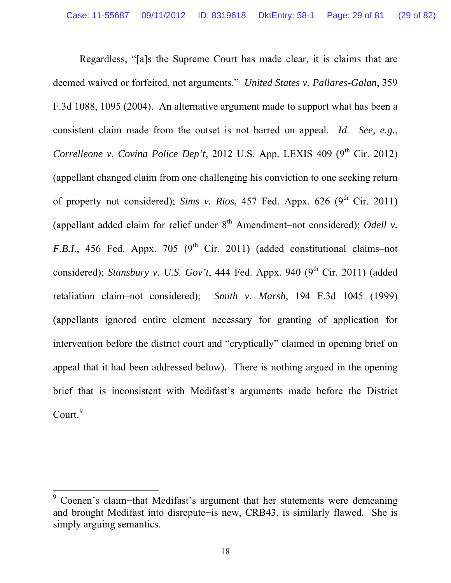Regardless, "[a]s the Supreme Court has made clear, it is claims that are deemed waived or forfeited, not arguments." *United States v. Pallares-Galan*, 359 F.3d 1088, 1095 (2004). An alternative argument made to support what has been a consistent claim made from the outset is not barred on appeal. *Id*. *See, e.g.*, *Correlleone v. Covina Police Dep't*, 2012 U.S. App. LEXIS 409  $(9<sup>th</sup>$  Cir. 2012) (appellant changed claim from one challenging his conviction to one seeking return of property–not considered); *Sims v. Rios*, 457 Fed. Appx. 626 (9<sup>th</sup> Cir. 2011) (appellant added claim for relief under  $8<sup>th</sup>$  Amendment–not considered); *Odell v. F.B.I.*, 456 Fed. Appx. 705 ( $9<sup>th</sup>$  Cir. 2011) (added constitutional claims–not considered); *Stansbury v. U.S. Gov't*, 444 Fed. Appx. 940 (9<sup>th</sup> Cir. 2011) (added retaliation claim–not considered); *Smith v. Marsh*, 194 F.3d 1045 (1999) (appellants ignored entire element necessary for granting of application for intervention before the district court and "cryptically" claimed in opening brief on appeal that it had been addressed below). There is nothing argued in the opening brief that is inconsistent with Medifast's arguments made before the District  $Count.<sup>9</sup>$  $Count.<sup>9</sup>$  $Count.<sup>9</sup>$ 

<span id="page-28-0"></span><sup>9</sup> Coenen's claim−that Medifast's argument that her statements were demeaning and brought Medifast into disrepute−is new, CRB43, is similarly flawed. She is simply arguing semantics.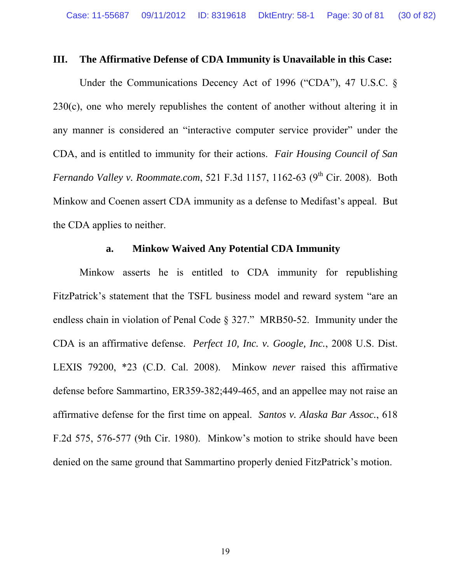#### <span id="page-29-0"></span>**III. The Affirmative Defense of CDA Immunity is Unavailable in this Case:**

Under the Communications Decency Act of 1996 ("CDA"), 47 U.S.C. § 230(c), one who merely republishes the content of another without altering it in any manner is considered an "interactive computer service provider" under the CDA, and is entitled to immunity for their actions. *Fair Housing Council of San Fernando Valley v. Roommate.com,* 521 F.3d 1157, 1162-63 (9<sup>th</sup> Cir. 2008). Both Minkow and Coenen assert CDA immunity as a defense to Medifast's appeal. But the CDA applies to neither.

## **a. Minkow Waived Any Potential CDA Immunity**

<span id="page-29-1"></span>Minkow asserts he is entitled to CDA immunity for republishing FitzPatrick's statement that the TSFL business model and reward system "are an endless chain in violation of Penal Code § 327." MRB50-52. Immunity under the CDA is an affirmative defense. *Perfect 10, Inc. v. Google, Inc.*, 2008 U.S. Dist. LEXIS 79200, \*23 (C.D. Cal. 2008). Minkow *never* raised this affirmative defense before Sammartino, ER359-382;449-465, and an appellee may not raise an affirmative defense for the first time on appeal. *Santos v. Alaska Bar Assoc.*, 618 F.2d 575, 576-577 (9th Cir. 1980). Minkow's motion to strike should have been denied on the same ground that Sammartino properly denied FitzPatrick's motion.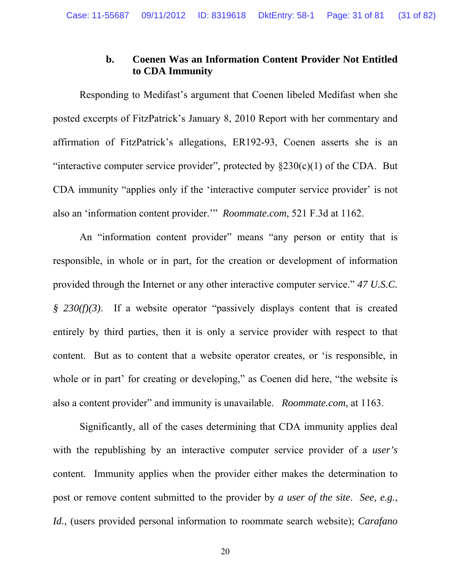# **b. Coenen Was an Information Content Provider Not Entitled to CDA Immunity**

<span id="page-30-0"></span>Responding to Medifast's argument that Coenen libeled Medifast when she posted excerpts of FitzPatrick's January 8, 2010 Report with her commentary and affirmation of FitzPatrick's allegations, ER192-93, Coenen asserts she is an "interactive computer service provider", protected by  $\S 230(c)(1)$  of the CDA. But CDA immunity "applies only if the 'interactive computer service provider' is not also an 'information content provider.'" *Roommate.com*, 521 F.3d at 1162.

An "information content provider" means "any person or entity that is responsible, in whole or in part, for the creation or development of information provided through the Internet or any other interactive computer service." *47 U.S.C. § 230(f)(3)*. If a website operator "passively displays content that is created entirely by third parties, then it is only a service provider with respect to that content. But as to content that a website operator creates, or 'is responsible, in whole or in part' for creating or developing," as Coenen did here, "the website is also a content provider" and immunity is unavailable. *Roommate.com*, at 1163.

Significantly, all of the cases determining that CDA immunity applies deal with the republishing by an interactive computer service provider of a *user's* content. Immunity applies when the provider either makes the determination to post or remove content submitted to the provider by *a user of the site*. *See, e.g.*, *Id.*, (users provided personal information to roommate search website); *Carafano*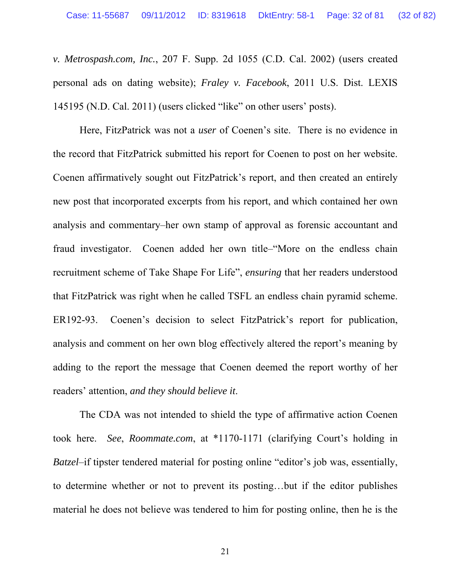*v. Metrospash.com, Inc.*, 207 F. Supp. 2d 1055 (C.D. Cal. 2002) (users created personal ads on dating website); *Fraley v. Facebook*, 2011 U.S. Dist. LEXIS 145195 (N.D. Cal. 2011) (users clicked "like" on other users' posts).

Here, FitzPatrick was not a *user* of Coenen's site. There is no evidence in the record that FitzPatrick submitted his report for Coenen to post on her website. Coenen affirmatively sought out FitzPatrick's report, and then created an entirely new post that incorporated excerpts from his report, and which contained her own analysis and commentary–her own stamp of approval as forensic accountant and fraud investigator. Coenen added her own title–"More on the endless chain recruitment scheme of Take Shape For Life", *ensuring* that her readers understood that FitzPatrick was right when he called TSFL an endless chain pyramid scheme. ER192-93. Coenen's decision to select FitzPatrick's report for publication, analysis and comment on her own blog effectively altered the report's meaning by adding to the report the message that Coenen deemed the report worthy of her readers' attention, *and they should believe it*.

The CDA was not intended to shield the type of affirmative action Coenen took here. *See*, *Roommate.com*, at \*1170-1171 (clarifying Court's holding in *Batzel*–if tipster tendered material for posting online "editor's job was, essentially, to determine whether or not to prevent its posting…but if the editor publishes material he does not believe was tendered to him for posting online, then he is the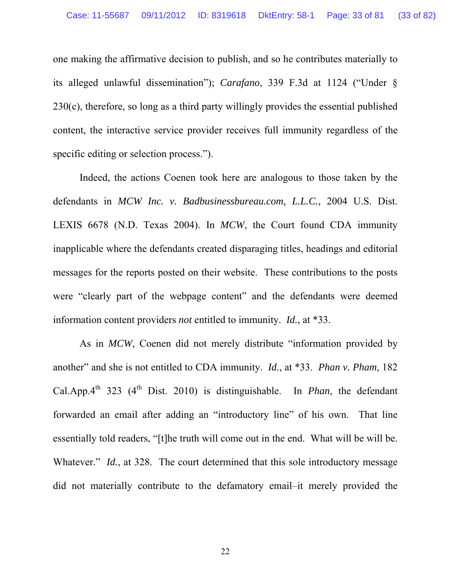one making the affirmative decision to publish, and so he contributes materially to its alleged unlawful dissemination"); *Carafano*, 339 F.3d at 1124 ("Under § 230(c), therefore, so long as a third party willingly provides the essential published content, the interactive service provider receives full immunity regardless of the specific editing or selection process.").

Indeed, the actions Coenen took here are analogous to those taken by the defendants in *MCW Inc. v. Badbusinessbureau.com, L.L.C.*, 2004 U.S. Dist. LEXIS 6678 (N.D. Texas 2004). In *MCW*, the Court found CDA immunity inapplicable where the defendants created disparaging titles, headings and editorial messages for the reports posted on their website. These contributions to the posts were "clearly part of the webpage content" and the defendants were deemed information content providers *not* entitled to immunity. *Id.*, at \*33.

As in *MCW*, Coenen did not merely distribute "information provided by another" and she is not entitled to CDA immunity. *Id.*, at \*33. *Phan v. Pham*, 182 Cal.App. $4^{th}$  323 ( $4^{th}$  Dist. 2010) is distinguishable. In *Phan*, the defendant forwarded an email after adding an "introductory line" of his own. That line essentially told readers, "[t]he truth will come out in the end. What will be will be. Whatever." *Id.*, at 328. The court determined that this sole introductory message did not materially contribute to the defamatory email–it merely provided the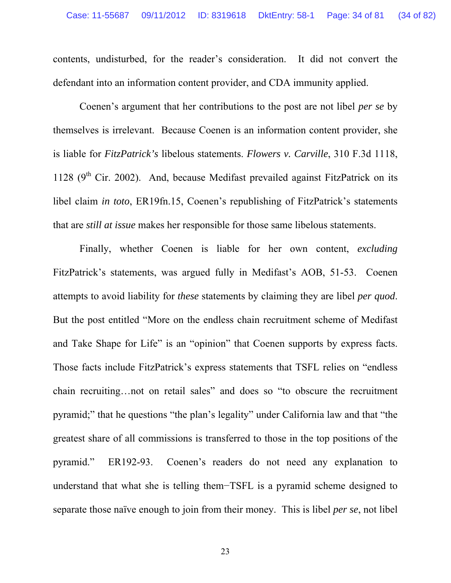contents, undisturbed, for the reader's consideration. It did not convert the defendant into an information content provider, and CDA immunity applied.

Coenen's argument that her contributions to the post are not libel *per se* by themselves is irrelevant. Because Coenen is an information content provider, she is liable for *FitzPatrick's* libelous statements. *Flowers v. Carville*, 310 F.3d 1118, 1128 ( $9<sup>th</sup>$  Cir. 2002). And, because Medifast prevailed against FitzPatrick on its libel claim *in toto*, ER19fn.15, Coenen's republishing of FitzPatrick's statements that are *still at issue* makes her responsible for those same libelous statements.

Finally, whether Coenen is liable for her own content, *excluding* FitzPatrick's statements, was argued fully in Medifast's AOB, 51-53. Coenen attempts to avoid liability for *these* statements by claiming they are libel *per quod*. But the post entitled "More on the endless chain recruitment scheme of Medifast and Take Shape for Life" is an "opinion" that Coenen supports by express facts. Those facts include FitzPatrick's express statements that TSFL relies on "endless chain recruiting…not on retail sales" and does so "to obscure the recruitment pyramid;" that he questions "the plan's legality" under California law and that "the greatest share of all commissions is transferred to those in the top positions of the pyramid." ER192-93. Coenen's readers do not need any explanation to understand that what she is telling them−TSFL is a pyramid scheme designed to separate those naïve enough to join from their money. This is libel *per se*, not libel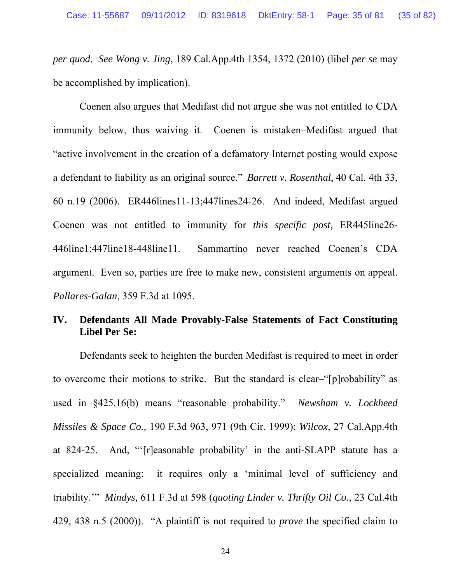*per quod*. *See Wong v. Jing*, 189 Cal.App.4th 1354, 1372 (2010) (libel *per se* may be accomplished by implication).

Coenen also argues that Medifast did not argue she was not entitled to CDA immunity below, thus waiving it. Coenen is mistaken–Medifast argued that "active involvement in the creation of a defamatory Internet posting would expose a defendant to liability as an original source." *Barrett v. Rosenthal*, 40 Cal. 4th 33, 60 n.19 (2006). ER446lines11-13;447lines24-26. And indeed, Medifast argued Coenen was not entitled to immunity for *this specific post*, ER445line26- 446line1;447line18-448line11. Sammartino never reached Coenen's CDA argument. Even so, parties are free to make new, consistent arguments on appeal. *Pallares-Galan*, 359 F.3d at 1095.

# <span id="page-34-0"></span>**IV. Defendants All Made Provably-False Statements of Fact Constituting Libel Per Se:**

Defendants seek to heighten the burden Medifast is required to meet in order to overcome their motions to strike. But the standard is clear–"[p]robability" as used in §425.16(b) means "reasonable probability." *Newsham v. Lockheed Missiles & Space Co.,* 190 F.3d 963, 971 (9th Cir. 1999); *Wilcox,* 27 Cal.App.4th at 824-25. And, "'[r]easonable probability' in the anti-SLAPP statute has a specialized meaning: it requires only a 'minimal level of sufficiency and triability.'" *Mindys,* 611 F.3d at 598 (*quoting Linder v. Thrifty Oil Co.,* 23 Cal.4th 429, 438 n.5 (2000)). "A plaintiff is not required to *prove* the specified claim to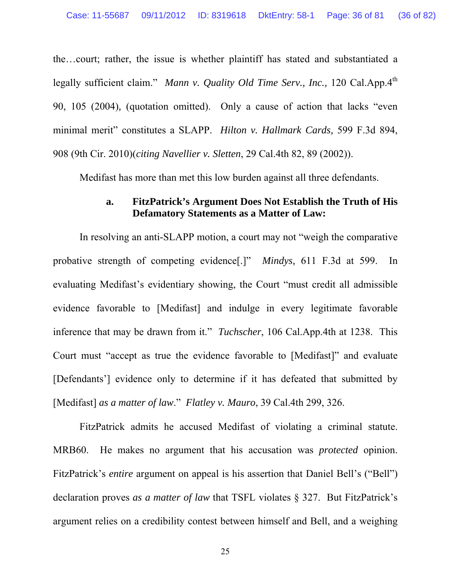the…court; rather, the issue is whether plaintiff has stated and substantiated a legally sufficient claim." *Mann v. Quality Old Time Serv., Inc.*, 120 Cal.App.4<sup>th</sup> 90, 105 (2004)*,* (quotation omitted). Only a cause of action that lacks "even minimal merit" constitutes a SLAPP. *Hilton v. Hallmark Cards,* 599 F.3d 894, 908 (9th Cir. 2010)(*citing Navellier v. Sletten*, 29 Cal.4th 82, 89 (2002)).

Medifast has more than met this low burden against all three defendants.

# **a. FitzPatrick's Argument Does Not Establish the Truth of His Defamatory Statements as a Matter of Law:**

<span id="page-35-0"></span>In resolving an anti-SLAPP motion, a court may not "weigh the comparative probative strength of competing evidence[.]" *Mindys,* 611 F.3d at 599. In evaluating Medifast's evidentiary showing, the Court "must credit all admissible evidence favorable to [Medifast] and indulge in every legitimate favorable inference that may be drawn from it." *Tuchscher*, 106 Cal.App.4th at 1238. This Court must "accept as true the evidence favorable to [Medifast]" and evaluate [Defendants'] evidence only to determine if it has defeated that submitted by [Medifast] *as a matter of law*." *Flatley v. Mauro*, 39 Cal.4th 299, 326.

FitzPatrick admits he accused Medifast of violating a criminal statute. MRB60. He makes no argument that his accusation was *protected* opinion. FitzPatrick's *entire* argument on appeal is his assertion that Daniel Bell's ("Bell") declaration proves *as a matter of law* that TSFL violates § 327. But FitzPatrick's argument relies on a credibility contest between himself and Bell, and a weighing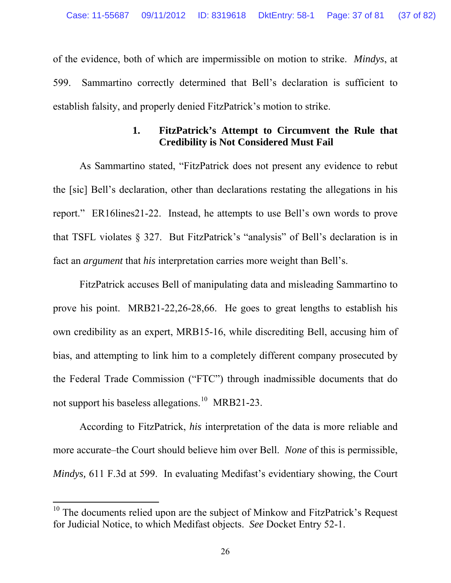of the evidence, both of which are impermissible on motion to strike. *Mindys*, at 599. Sammartino correctly determined that Bell's declaration is sufficient to establish falsity, and properly denied FitzPatrick's motion to strike.

## **1. FitzPatrick's Attempt to Circumvent the Rule that Credibility is Not Considered Must Fail**

As Sammartino stated, "FitzPatrick does not present any evidence to rebut the [sic] Bell's declaration, other than declarations restating the allegations in his report." ER16lines21-22. Instead, he attempts to use Bell's own words to prove that TSFL violates § 327. But FitzPatrick's "analysis" of Bell's declaration is in fact an *argument* that *his* interpretation carries more weight than Bell's.

FitzPatrick accuses Bell of manipulating data and misleading Sammartino to prove his point. MRB21-22,26-28,66. He goes to great lengths to establish his own credibility as an expert, MRB15-16, while discrediting Bell, accusing him of bias, and attempting to link him to a completely different company prosecuted by the Federal Trade Commission ("FTC") through inadmissible documents that do not support his baseless allegations.<sup>[10](#page-36-0)</sup> MRB21-23.

According to FitzPatrick, *his* interpretation of the data is more reliable and more accurate–the Court should believe him over Bell. *None* of this is permissible, *Mindys,* 611 F.3d at 599. In evaluating Medifast's evidentiary showing, the Court

<span id="page-36-0"></span><sup>&</sup>lt;sup>10</sup> The documents relied upon are the subject of Minkow and FitzPatrick's Request for Judicial Notice, to which Medifast objects. *See* Docket Entry 52-1.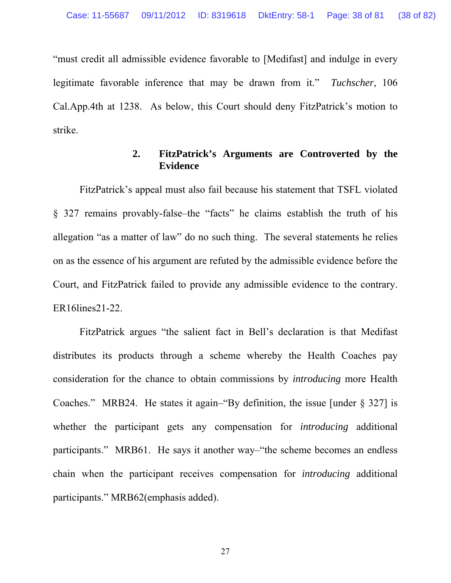"must credit all admissible evidence favorable to [Medifast] and indulge in every legitimate favorable inference that may be drawn from it." *Tuchscher*, 106 Cal.App.4th at 1238. As below, this Court should deny FitzPatrick's motion to strike.

## **2. FitzPatrick's Arguments are Controverted by the Evidence**

FitzPatrick's appeal must also fail because his statement that TSFL violated § 327 remains provably-false–the "facts" he claims establish the truth of his allegation "as a matter of law" do no such thing. The several statements he relies on as the essence of his argument are refuted by the admissible evidence before the Court, and FitzPatrick failed to provide any admissible evidence to the contrary. ER16lines21-22.

FitzPatrick argues "the salient fact in Bell's declaration is that Medifast distributes its products through a scheme whereby the Health Coaches pay consideration for the chance to obtain commissions by *introducing* more Health Coaches." MRB24. He states it again–"By definition, the issue [under § 327] is whether the participant gets any compensation for *introducing* additional participants." MRB61. He says it another way–"the scheme becomes an endless chain when the participant receives compensation for *introducing* additional participants." MRB62(emphasis added).

27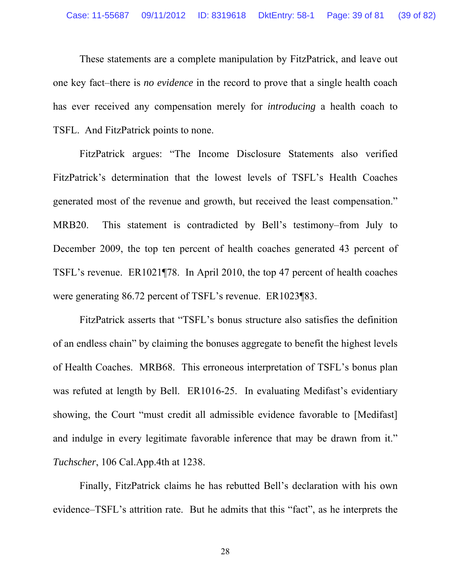These statements are a complete manipulation by FitzPatrick, and leave out one key fact–there is *no evidence* in the record to prove that a single health coach has ever received any compensation merely for *introducing* a health coach to TSFL. And FitzPatrick points to none.

FitzPatrick argues: "The Income Disclosure Statements also verified FitzPatrick's determination that the lowest levels of TSFL's Health Coaches generated most of the revenue and growth, but received the least compensation." MRB20. This statement is contradicted by Bell's testimony–from July to December 2009, the top ten percent of health coaches generated 43 percent of TSFL's revenue. ER1021¶78. In April 2010, the top 47 percent of health coaches were generating 86.72 percent of TSFL's revenue. ER1023¶83.

FitzPatrick asserts that "TSFL's bonus structure also satisfies the definition of an endless chain" by claiming the bonuses aggregate to benefit the highest levels of Health Coaches. MRB68. This erroneous interpretation of TSFL's bonus plan was refuted at length by Bell. ER1016-25. In evaluating Medifast's evidentiary showing, the Court "must credit all admissible evidence favorable to [Medifast] and indulge in every legitimate favorable inference that may be drawn from it." *Tuchscher*, 106 Cal.App.4th at 1238.

Finally, FitzPatrick claims he has rebutted Bell's declaration with his own evidence–TSFL's attrition rate. But he admits that this "fact", as he interprets the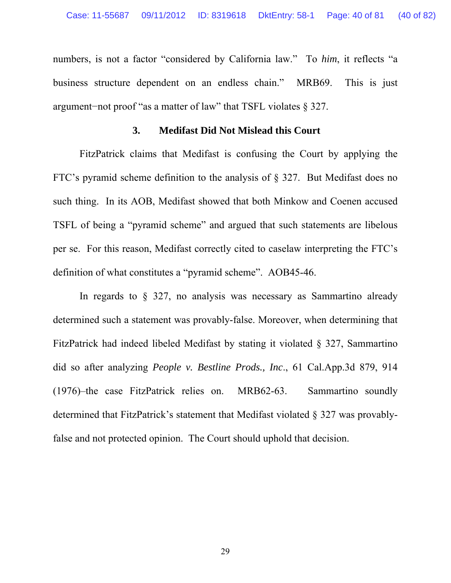numbers, is not a factor "considered by California law." To *him*, it reflects "a business structure dependent on an endless chain." MRB69. This is just argument−not proof "as a matter of law" that TSFL violates § 327.

#### **3. Medifast Did Not Mislead this Court**

FitzPatrick claims that Medifast is confusing the Court by applying the FTC's pyramid scheme definition to the analysis of § 327. But Medifast does no such thing. In its AOB, Medifast showed that both Minkow and Coenen accused TSFL of being a "pyramid scheme" and argued that such statements are libelous per se. For this reason, Medifast correctly cited to caselaw interpreting the FTC's definition of what constitutes a "pyramid scheme". AOB45-46.

In regards to § 327, no analysis was necessary as Sammartino already determined such a statement was provably-false. Moreover, when determining that FitzPatrick had indeed libeled Medifast by stating it violated § 327, Sammartino did so after analyzing *People v. Bestline Prods., Inc*., 61 Cal.App.3d 879, 914 (1976)–the case FitzPatrick relies on. MRB62-63. Sammartino soundly determined that FitzPatrick's statement that Medifast violated § 327 was provablyfalse and not protected opinion. The Court should uphold that decision.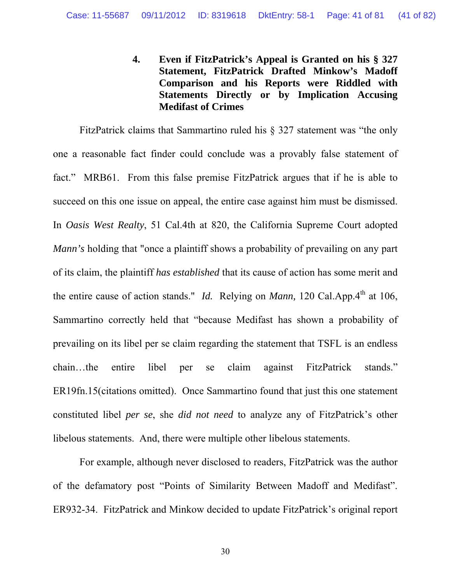**4. Even if FitzPatrick's Appeal is Granted on his § 327 Statement, FitzPatrick Drafted Minkow's Madoff Comparison and his Reports were Riddled with Statements Directly or by Implication Accusing Medifast of Crimes** 

FitzPatrick claims that Sammartino ruled his § 327 statement was "the only one a reasonable fact finder could conclude was a provably false statement of fact." MRB61. From this false premise FitzPatrick argues that if he is able to succeed on this one issue on appeal, the entire case against him must be dismissed. In *Oasis West Realty*, 51 Cal.4th at 820, the California Supreme Court adopted *Mann's* holding that "once a plaintiff shows a probability of prevailing on any part of its claim, the plaintiff *has established* that its cause of action has some merit and the entire cause of action stands." *Id.* Relying on *Mann*, 120 Cal.App.4<sup>th</sup> at 106, Sammartino correctly held that "because Medifast has shown a probability of prevailing on its libel per se claim regarding the statement that TSFL is an endless chain…the entire libel per se claim against FitzPatrick stands." ER19fn.15(citations omitted). Once Sammartino found that just this one statement constituted libel *per se*, she *did not need* to analyze any of FitzPatrick's other libelous statements. And, there were multiple other libelous statements.

For example, although never disclosed to readers, FitzPatrick was the author of the defamatory post "Points of Similarity Between Madoff and Medifast". ER932-34. FitzPatrick and Minkow decided to update FitzPatrick's original report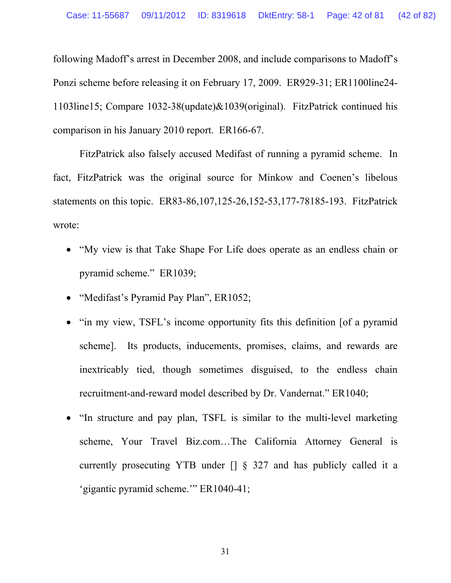following Madoff's arrest in December 2008, and include comparisons to Madoff's Ponzi scheme before releasing it on February 17, 2009. ER929-31; ER1100line24- 1103line15; Compare 1032-38(update)&1039(original). FitzPatrick continued his comparison in his January 2010 report. ER166-67.

FitzPatrick also falsely accused Medifast of running a pyramid scheme. In fact, FitzPatrick was the original source for Minkow and Coenen's libelous statements on this topic.ER83-86,107,125-26,152-53,177-78185-193. FitzPatrick wrote:

- "My view is that Take Shape For Life does operate as an endless chain or pyramid scheme." ER1039;
- "Medifast's Pyramid Pay Plan", ER1052;
- "in my view, TSFL's income opportunity fits this definition [of a pyramid scheme]. Its products, inducements, promises, claims, and rewards are inextricably tied, though sometimes disguised, to the endless chain recruitment-and-reward model described by Dr. Vandernat." ER1040;
- "In structure and pay plan, TSFL is similar to the multi-level marketing scheme, Your Travel Biz.com…The California Attorney General is currently prosecuting YTB under [] § 327 and has publicly called it a 'gigantic pyramid scheme.'" ER1040-41;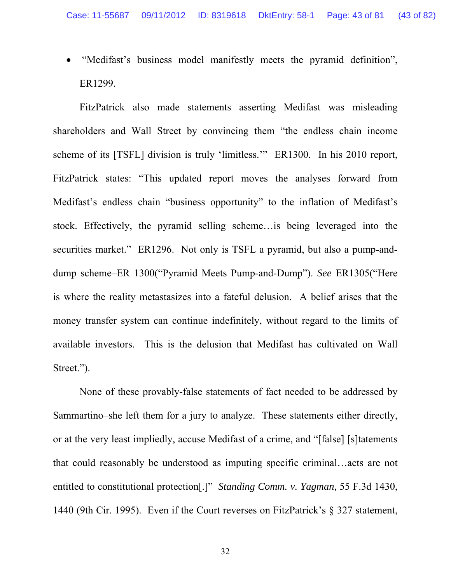"Medifast's business model manifestly meets the pyramid definition", ER1299.

FitzPatrick also made statements asserting Medifast was misleading shareholders and Wall Street by convincing them "the endless chain income scheme of its [TSFL] division is truly 'limitless.'" ER1300. In his 2010 report, FitzPatrick states: "This updated report moves the analyses forward from Medifast's endless chain "business opportunity" to the inflation of Medifast's stock. Effectively, the pyramid selling scheme…is being leveraged into the securities market." ER1296. Not only is TSFL a pyramid, but also a pump-anddump scheme–ER 1300("Pyramid Meets Pump-and-Dump"). *See* ER1305("Here is where the reality metastasizes into a fateful delusion. A belief arises that the money transfer system can continue indefinitely, without regard to the limits of available investors. This is the delusion that Medifast has cultivated on Wall Street.").

None of these provably-false statements of fact needed to be addressed by Sammartino–she left them for a jury to analyze. These statements either directly, or at the very least impliedly, accuse Medifast of a crime, and "[false] [s]tatements that could reasonably be understood as imputing specific criminal…acts are not entitled to constitutional protection[.]" *Standing Comm. v. Yagman,* 55 F.3d 1430, 1440 (9th Cir. 1995). Even if the Court reverses on FitzPatrick's § 327 statement,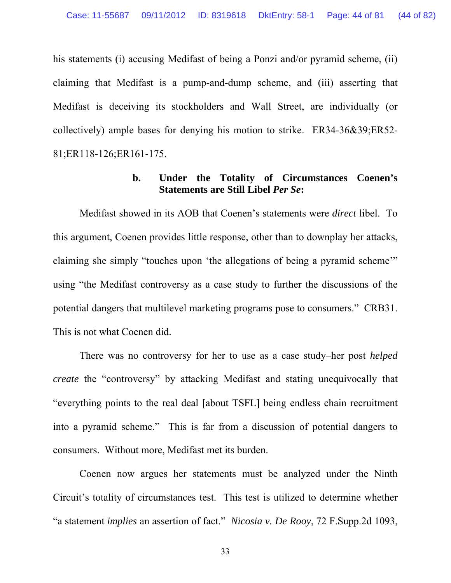his statements (i) accusing Medifast of being a Ponzi and/or pyramid scheme, (ii) claiming that Medifast is a pump-and-dump scheme, and (iii) asserting that Medifast is deceiving its stockholders and Wall Street, are individually (or collectively) ample bases for denying his motion to strike. ER34-36&39;ER52- 81;ER118-126;ER161-175.

#### **b. Under the Totality of Circumstances Coenen's Statements are Still Libel** *Per Se***:**

Medifast showed in its AOB that Coenen's statements were *direct* libel. To this argument, Coenen provides little response, other than to downplay her attacks, claiming she simply "touches upon 'the allegations of being a pyramid scheme'" using "the Medifast controversy as a case study to further the discussions of the potential dangers that multilevel marketing programs pose to consumers." CRB31. This is not what Coenen did.

There was no controversy for her to use as a case study–her post *helped create* the "controversy" by attacking Medifast and stating unequivocally that "everything points to the real deal [about TSFL] being endless chain recruitment into a pyramid scheme." This is far from a discussion of potential dangers to consumers. Without more, Medifast met its burden.

Coenen now argues her statements must be analyzed under the Ninth Circuit's totality of circumstances test. This test is utilized to determine whether "a statement *implies* an assertion of fact." *Nicosia v. De Rooy*, 72 F.Supp.2d 1093,

33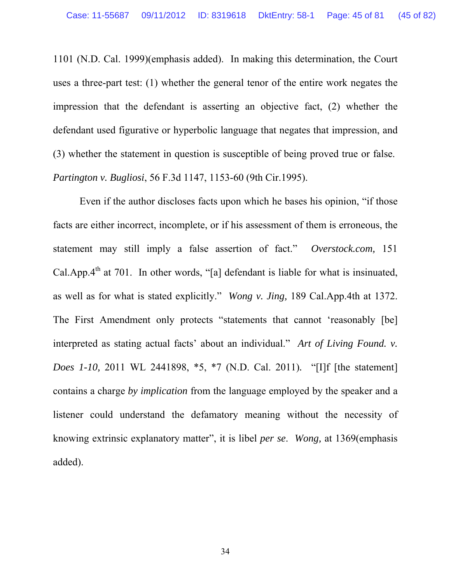1101 (N.D. Cal. 1999)(emphasis added). In making this determination, the Court uses a three-part test: (1) whether the general tenor of the entire work negates the impression that the defendant is asserting an objective fact, (2) whether the defendant used figurative or hyperbolic language that negates that impression, and (3) whether the statement in question is susceptible of being proved true or false. *Partington v. Bugliosi*, 56 F.3d 1147, 1153-60 (9th Cir.1995).

Even if the author discloses facts upon which he bases his opinion, "if those facts are either incorrect, incomplete, or if his assessment of them is erroneous, the statement may still imply a false assertion of fact." *Overstock.com,* 151 Cal.App. $4<sup>th</sup>$  at 701. In other words, "[a] defendant is liable for what is insinuated, as well as for what is stated explicitly." *Wong v. Jing,* 189 Cal.App.4th at 1372. The First Amendment only protects "statements that cannot 'reasonably [be] interpreted as stating actual facts' about an individual." *Art of Living Found. v. Does 1-10,* 2011 WL 2441898, \*5, \*7 (N.D. Cal. 2011)*.* "[I]f [the statement] contains a charge *by implication* from the language employed by the speaker and a listener could understand the defamatory meaning without the necessity of knowing extrinsic explanatory matter", it is libel *per se*. *Wong,* at 1369(emphasis added).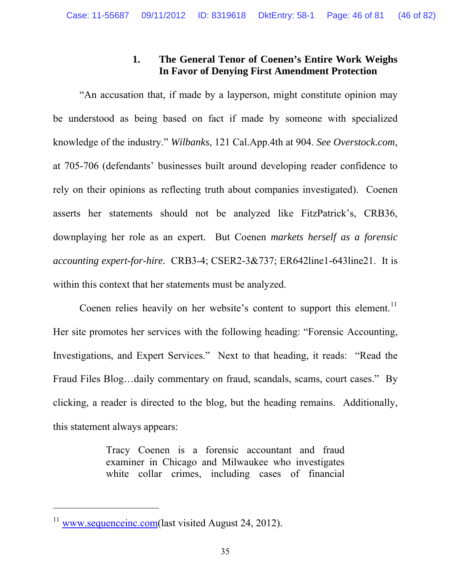# **1. The General Tenor of Coenen's Entire Work Weighs In Favor of Denying First Amendment Protection**

"An accusation that, if made by a layperson, might constitute opinion may be understood as being based on fact if made by someone with specialized knowledge of the industry." *Wilbanks*, 121 Cal.App.4th at 904. *See Overstock.com*, at 705-706 (defendants' businesses built around developing reader confidence to rely on their opinions as reflecting truth about companies investigated). Coenen asserts her statements should not be analyzed like FitzPatrick's, CRB36, downplaying her role as an expert. But Coenen *markets herself as a forensic accounting expert-for-hire.* CRB3-4; CSER2-3&737; ER642line1-643line21. It is within this context that her statements must be analyzed.

Coenen relies heavily on her website's content to support this element.<sup>[11](#page-45-0)</sup> Her site promotes her services with the following heading: "Forensic Accounting, Investigations, and Expert Services." Next to that heading, it reads: "Read the Fraud Files Blog…daily commentary on fraud, scandals, scams, court cases." By clicking, a reader is directed to the blog, but the heading remains. Additionally, this statement always appears:

> Tracy Coenen is a forensic accountant and fraud examiner in Chicago and Milwaukee who investigates white collar crimes, including cases of financial

<span id="page-45-0"></span> $11$  [www.sequenceinc.com](http://www.sequenceinc.com/)(last visited August 24, 2012).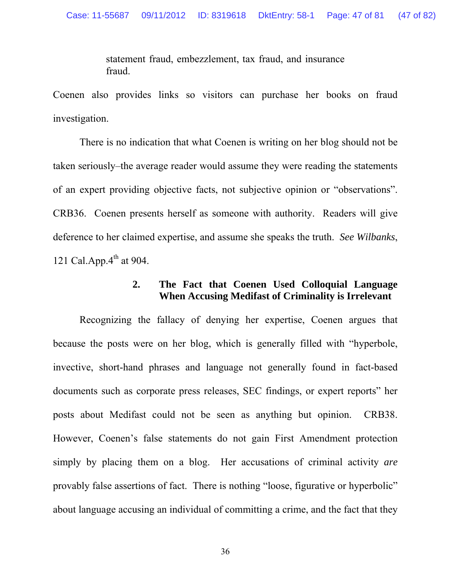statement fraud, embezzlement, tax fraud, and insurance fraud.

Coenen also provides links so visitors can purchase her books on fraud investigation.

There is no indication that what Coenen is writing on her blog should not be taken seriously–the average reader would assume they were reading the statements of an expert providing objective facts, not subjective opinion or "observations". CRB36. Coenen presents herself as someone with authority. Readers will give deference to her claimed expertise, and assume she speaks the truth. *See Wilbanks*, 121 Cal.App. $4^{th}$  at 904.

## **2. The Fact that Coenen Used Colloquial Language When Accusing Medifast of Criminality is Irrelevant**

Recognizing the fallacy of denying her expertise, Coenen argues that because the posts were on her blog, which is generally filled with "hyperbole, invective, short-hand phrases and language not generally found in fact-based documents such as corporate press releases, SEC findings, or expert reports" her posts about Medifast could not be seen as anything but opinion. CRB38. However, Coenen's false statements do not gain First Amendment protection simply by placing them on a blog. Her accusations of criminal activity *are* provably false assertions of fact. There is nothing "loose, figurative or hyperbolic" about language accusing an individual of committing a crime, and the fact that they

36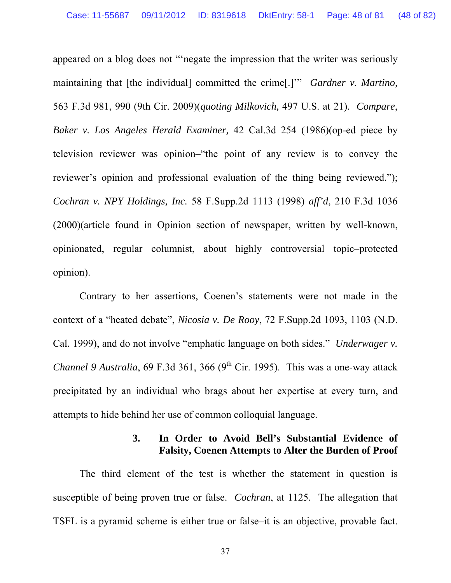appeared on a blog does not "'negate the impression that the writer was seriously maintaining that [the individual] committed the crime[.]'" *Gardner v. Martino,* 563 F.3d 981, 990 (9th Cir. 2009)(*quoting Milkovich,* 497 U.S. at 21). *Compare*, *Baker v. Los Angeles Herald Examiner,* 42 Cal.3d 254 (1986)(op-ed piece by television reviewer was opinion–"the point of any review is to convey the reviewer's opinion and professional evaluation of the thing being reviewed."); *Cochran v. NPY Holdings, Inc.* 58 F.Supp.2d 1113 (1998) *aff'd*, 210 F.3d 1036 (2000)(article found in Opinion section of newspaper, written by well-known, opinionated, regular columnist, about highly controversial topic–protected opinion).

Contrary to her assertions, Coenen's statements were not made in the context of a "heated debate", *Nicosia v. De Rooy*, 72 F.Supp.2d 1093, 1103 (N.D. Cal. 1999), and do not involve "emphatic language on both sides." *Underwager v. Channel 9 Australia*, 69 F.3d 361, 366 (9<sup>th</sup> Cir. 1995). This was a one-way attack precipitated by an individual who brags about her expertise at every turn, and attempts to hide behind her use of common colloquial language.

### **3. In Order to Avoid Bell's Substantial Evidence of Falsity, Coenen Attempts to Alter the Burden of Proof**

The third element of the test is whether the statement in question is susceptible of being proven true or false. *Cochran*, at 1125. The allegation that TSFL is a pyramid scheme is either true or false–it is an objective, provable fact.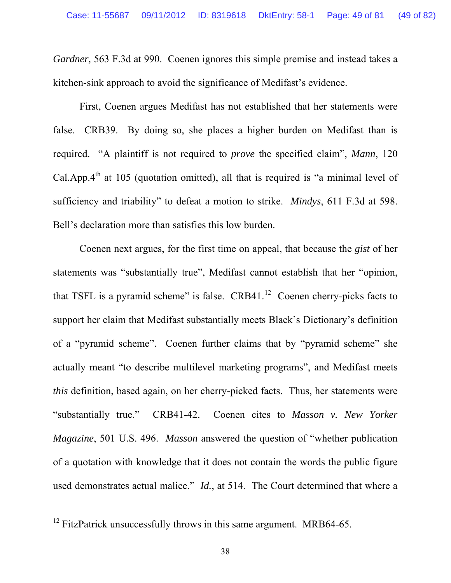*Gardner,* 563 F.3d at 990. Coenen ignores this simple premise and instead takes a kitchen-sink approach to avoid the significance of Medifast's evidence.

First, Coenen argues Medifast has not established that her statements were false. CRB39. By doing so, she places a higher burden on Medifast than is required. "A plaintiff is not required to *prove* the specified claim", *Mann*, 120 Cal.App. $4<sup>th</sup>$  at 105 (quotation omitted), all that is required is "a minimal level of sufficiency and triability" to defeat a motion to strike. *Mindys*, 611 F.3d at 598. Bell's declaration more than satisfies this low burden.

Coenen next argues, for the first time on appeal, that because the *gist* of her statements was "substantially true", Medifast cannot establish that her "opinion, that TSFL is a pyramid scheme" is false.  $CRB41<sup>12</sup>$  $CRB41<sup>12</sup>$  $CRB41<sup>12</sup>$  Coenen cherry-picks facts to support her claim that Medifast substantially meets Black's Dictionary's definition of a "pyramid scheme". Coenen further claims that by "pyramid scheme" she actually meant "to describe multilevel marketing programs", and Medifast meets *this* definition, based again, on her cherry-picked facts. Thus, her statements were "substantially true." CRB41-42. Coenen cites to *Masson v. New Yorker Magazine*, 501 U.S. 496. *Masson* answered the question of "whether publication of a quotation with knowledge that it does not contain the words the public figure used demonstrates actual malice." *Id.*, at 514. The Court determined that where a

<span id="page-48-0"></span> $12$  FitzPatrick unsuccessfully throws in this same argument. MRB64-65.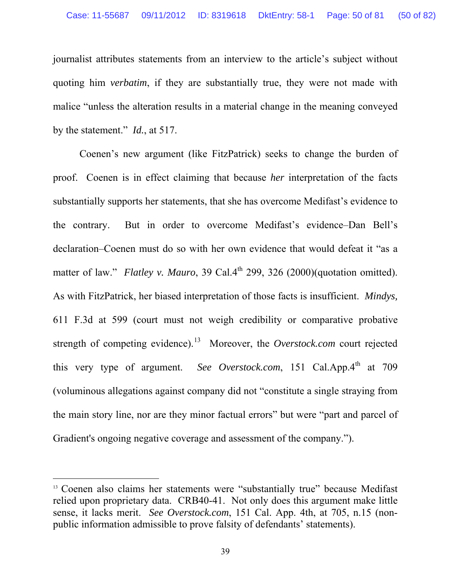journalist attributes statements from an interview to the article's subject without quoting him *verbatim*, if they are substantially true, they were not made with malice "unless the alteration results in a material change in the meaning conveyed by the statement." *Id.*, at 517.

Coenen's new argument (like FitzPatrick) seeks to change the burden of proof. Coenen is in effect claiming that because *her* interpretation of the facts substantially supports her statements, that she has overcome Medifast's evidence to the contrary. But in order to overcome Medifast's evidence–Dan Bell's declaration–Coenen must do so with her own evidence that would defeat it "as a matter of law." *Flatley v. Mauro*, 39 Cal.4<sup>th</sup> 299, 326 (2000)(quotation omitted). As with FitzPatrick, her biased interpretation of those facts is insufficient. *Mindys,* 611 F.3d at 599 (court must not weigh credibility or comparative probative strength of competing evidence).<sup>[13](#page-49-0)</sup> Moreover, the *Overstock.com* court rejected this very type of argument. *See Overstock.com*, 151 Cal.App. $4<sup>th</sup>$  at 709 (voluminous allegations against company did not "constitute a single straying from the main story line, nor are they minor factual errors" but were "part and parcel of Gradient's ongoing negative coverage and assessment of the company.").

<span id="page-49-0"></span><sup>&</sup>lt;sup>13</sup> Coenen also claims her statements were "substantially true" because Medifast relied upon proprietary data. CRB40-41. Not only does this argument make little sense, it lacks merit. *See Overstock.com*, 151 Cal. App. 4th, at 705, n.15 (nonpublic information admissible to prove falsity of defendants' statements).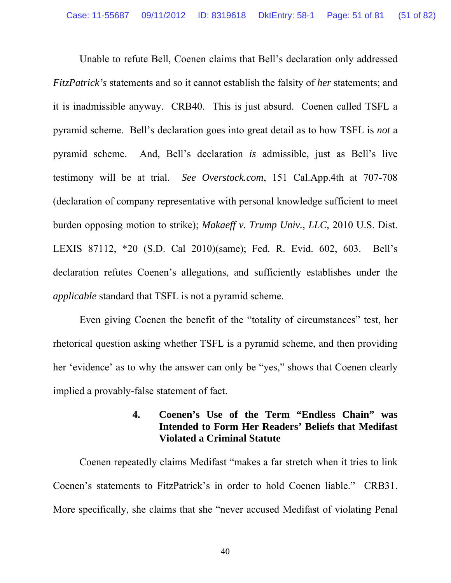Unable to refute Bell, Coenen claims that Bell's declaration only addressed *FitzPatrick's* statements and so it cannot establish the falsity of *her* statements; and it is inadmissible anyway. CRB40. This is just absurd. Coenen called TSFL a pyramid scheme. Bell's declaration goes into great detail as to how TSFL is *not* a pyramid scheme. And, Bell's declaration *is* admissible, just as Bell's live testimony will be at trial. *See Overstock.com*, 151 Cal.App.4th at 707-708 (declaration of company representative with personal knowledge sufficient to meet burden opposing motion to strike); *Makaeff v. Trump Univ., LLC*, 2010 U.S. Dist. LEXIS 87112, \*20 (S.D. Cal 2010)(same); Fed. R. Evid. 602, 603. Bell's declaration refutes Coenen's allegations, and sufficiently establishes under the *applicable* standard that TSFL is not a pyramid scheme.

Even giving Coenen the benefit of the "totality of circumstances" test, her rhetorical question asking whether TSFL is a pyramid scheme, and then providing her 'evidence' as to why the answer can only be "yes," shows that Coenen clearly implied a provably-false statement of fact.

## **4. Coenen's Use of the Term "Endless Chain" was Intended to Form Her Readers' Beliefs that Medifast Violated a Criminal Statute**

Coenen repeatedly claims Medifast "makes a far stretch when it tries to link Coenen's statements to FitzPatrick's in order to hold Coenen liable." CRB31. More specifically, she claims that she "never accused Medifast of violating Penal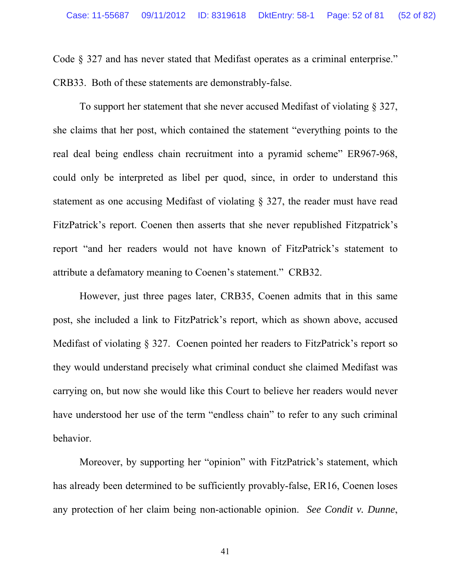Code § 327 and has never stated that Medifast operates as a criminal enterprise."

CRB33. Both of these statements are demonstrably-false.

To support her statement that she never accused Medifast of violating § 327, she claims that her post, which contained the statement "everything points to the real deal being endless chain recruitment into a pyramid scheme" ER967-968, could only be interpreted as libel per quod, since, in order to understand this statement as one accusing Medifast of violating § 327, the reader must have read FitzPatrick's report. Coenen then asserts that she never republished Fitzpatrick's report "and her readers would not have known of FitzPatrick's statement to attribute a defamatory meaning to Coenen's statement." CRB32.

However, just three pages later, CRB35, Coenen admits that in this same post, she included a link to FitzPatrick's report, which as shown above, accused Medifast of violating § 327. Coenen pointed her readers to FitzPatrick's report so they would understand precisely what criminal conduct she claimed Medifast was carrying on, but now she would like this Court to believe her readers would never have understood her use of the term "endless chain" to refer to any such criminal behavior.

Moreover, by supporting her "opinion" with FitzPatrick's statement, which has already been determined to be sufficiently provably-false, ER16, Coenen loses any protection of her claim being non-actionable opinion. *See Condit v. Dunne*,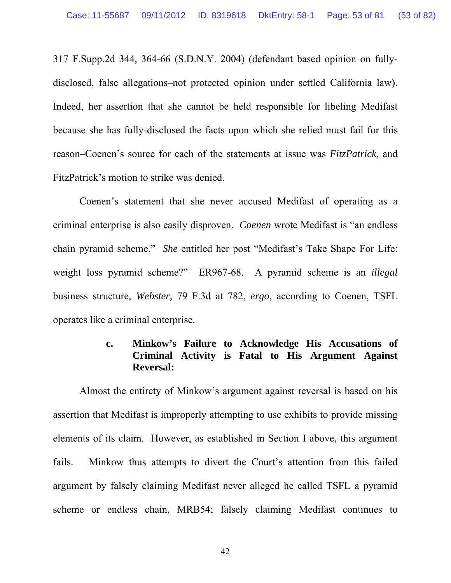317 F.Supp.2d 344, 364-66 (S.D.N.Y. 2004) (defendant based opinion on fullydisclosed, false allegations–not protected opinion under settled California law). Indeed, her assertion that she cannot be held responsible for libeling Medifast because she has fully-disclosed the facts upon which she relied must fail for this reason–Coenen's source for each of the statements at issue was *FitzPatrick*, and FitzPatrick's motion to strike was denied.

Coenen's statement that she never accused Medifast of operating as a criminal enterprise is also easily disproven. *Coenen* wrote Medifast is "an endless chain pyramid scheme." *She* entitled her post "Medifast's Take Shape For Life: weight loss pyramid scheme?" ER967-68. A pyramid scheme is an *illegal* business structure, *Webster,* 79 F.3d at 782, *ergo*, according to Coenen, TSFL operates like a criminal enterprise.

## **c. Minkow's Failure to Acknowledge His Accusations of Criminal Activity is Fatal to His Argument Against Reversal:**

Almost the entirety of Minkow's argument against reversal is based on his assertion that Medifast is improperly attempting to use exhibits to provide missing elements of its claim. However, as established in Section I above, this argument fails. Minkow thus attempts to divert the Court's attention from this failed argument by falsely claiming Medifast never alleged he called TSFL a pyramid scheme or endless chain, MRB54; falsely claiming Medifast continues to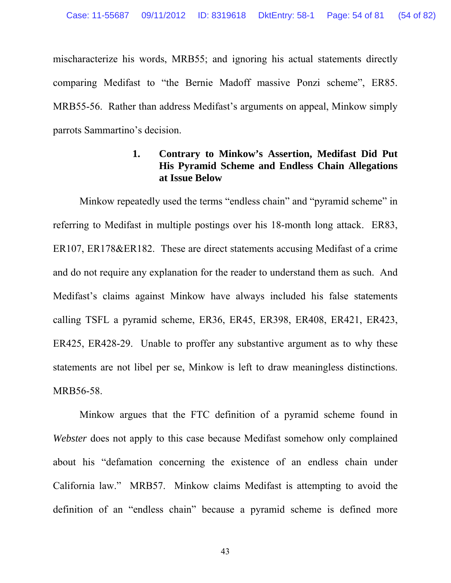mischaracterize his words, MRB55; and ignoring his actual statements directly comparing Medifast to "the Bernie Madoff massive Ponzi scheme", ER85. MRB55-56. Rather than address Medifast's arguments on appeal, Minkow simply parrots Sammartino's decision.

### **1. Contrary to Minkow's Assertion, Medifast Did Put His Pyramid Scheme and Endless Chain Allegations at Issue Below**

Minkow repeatedly used the terms "endless chain" and "pyramid scheme" in referring to Medifast in multiple postings over his 18-month long attack. ER83, ER107, ER178&ER182. These are direct statements accusing Medifast of a crime and do not require any explanation for the reader to understand them as such. And Medifast's claims against Minkow have always included his false statements calling TSFL a pyramid scheme, ER36, ER45, ER398, ER408, ER421, ER423, ER425, ER428-29. Unable to proffer any substantive argument as to why these statements are not libel per se, Minkow is left to draw meaningless distinctions. MRB56-58.

Minkow argues that the FTC definition of a pyramid scheme found in *Webster* does not apply to this case because Medifast somehow only complained about his "defamation concerning the existence of an endless chain under California law." MRB57. Minkow claims Medifast is attempting to avoid the definition of an "endless chain" because a pyramid scheme is defined more

43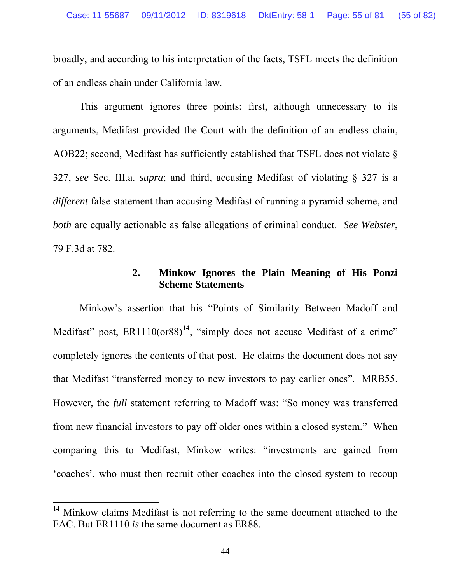broadly, and according to his interpretation of the facts, TSFL meets the definition of an endless chain under California law.

This argument ignores three points: first, although unnecessary to its arguments, Medifast provided the Court with the definition of an endless chain, AOB22; second, Medifast has sufficiently established that TSFL does not violate  $\delta$ 327, *see* Sec. III.a. *supra*; and third, accusing Medifast of violating § 327 is a *different* false statement than accusing Medifast of running a pyramid scheme, and *both* are equally actionable as false allegations of criminal conduct. *See Webster*, 79 F.3d at 782.

### **2. Minkow Ignores the Plain Meaning of His Ponzi Scheme Statements**

Minkow's assertion that his "Points of Similarity Between Madoff and Medifast" post,  $ER1110(0r88)^{14}$  $ER1110(0r88)^{14}$  $ER1110(0r88)^{14}$ , "simply does not accuse Medifast of a crime" completely ignores the contents of that post. He claims the document does not say that Medifast "transferred money to new investors to pay earlier ones". MRB55. However, the *full* statement referring to Madoff was: "So money was transferred from new financial investors to pay off older ones within a closed system." When comparing this to Medifast, Minkow writes: "investments are gained from 'coaches', who must then recruit other coaches into the closed system to recoup

<span id="page-54-0"></span><sup>&</sup>lt;sup>14</sup> Minkow claims Medifast is not referring to the same document attached to the FAC. But ER1110 *is* the same document as ER88.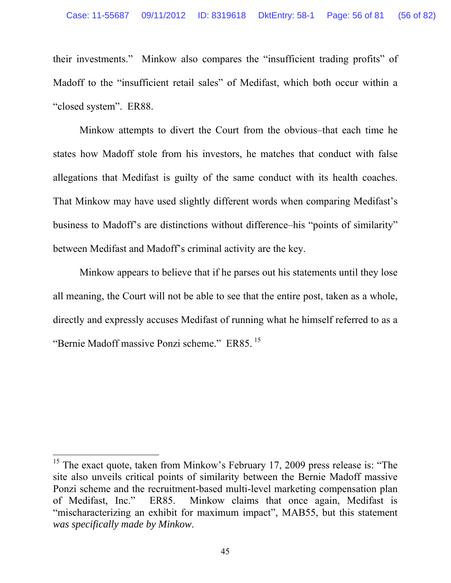their investments." Minkow also compares the "insufficient trading profits" of Madoff to the "insufficient retail sales" of Medifast, which both occur within a "closed system". ER88.

Minkow attempts to divert the Court from the obvious–that each time he states how Madoff stole from his investors, he matches that conduct with false allegations that Medifast is guilty of the same conduct with its health coaches. That Minkow may have used slightly different words when comparing Medifast's business to Madoff's are distinctions without difference–his "points of similarity" between Medifast and Madoff's criminal activity are the key.

Minkow appears to believe that if he parses out his statements until they lose all meaning, the Court will not be able to see that the entire post, taken as a whole, directly and expressly accuses Medifast of running what he himself referred to as a "Bernie Madoff massive Ponzi scheme." ER85. [15](#page-55-0)

<span id="page-55-0"></span><sup>&</sup>lt;sup>15</sup> The exact quote, taken from Minkow's February 17, 2009 press release is: "The site also unveils critical points of similarity between the Bernie Madoff massive Ponzi scheme and the recruitment-based multi-level marketing compensation plan of Medifast, Inc." ER85. Minkow claims that once again, Medifast is "mischaracterizing an exhibit for maximum impact", MAB55, but this statement *was specifically made by Minkow*.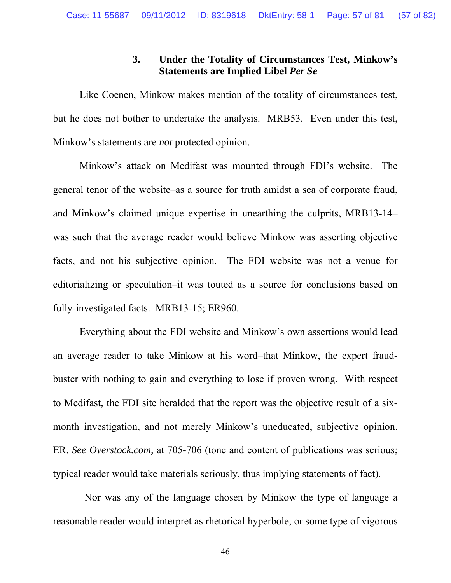## **3. Under the Totality of Circumstances Test, Minkow's Statements are Implied Libel** *Per Se*

Like Coenen, Minkow makes mention of the totality of circumstances test, but he does not bother to undertake the analysis. MRB53. Even under this test, Minkow's statements are *not* protected opinion.

Minkow's attack on Medifast was mounted through FDI's website. The general tenor of the website–as a source for truth amidst a sea of corporate fraud, and Minkow's claimed unique expertise in unearthing the culprits, MRB13-14– was such that the average reader would believe Minkow was asserting objective facts, and not his subjective opinion. The FDI website was not a venue for editorializing or speculation–it was touted as a source for conclusions based on fully-investigated facts. MRB13-15; ER960.

Everything about the FDI website and Minkow's own assertions would lead an average reader to take Minkow at his word–that Minkow, the expert fraudbuster with nothing to gain and everything to lose if proven wrong. With respect to Medifast, the FDI site heralded that the report was the objective result of a sixmonth investigation, and not merely Minkow's uneducated, subjective opinion. ER. *See Overstock.com,* at 705-706 (tone and content of publications was serious; typical reader would take materials seriously, thus implying statements of fact).

 Nor was any of the language chosen by Minkow the type of language a reasonable reader would interpret as rhetorical hyperbole, or some type of vigorous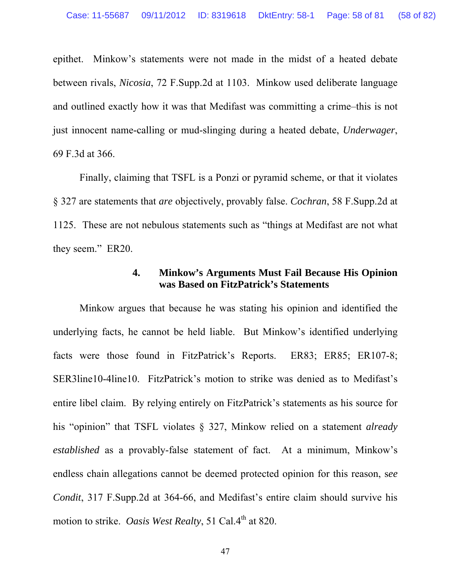epithet. Minkow's statements were not made in the midst of a heated debate between rivals, *Nicosia*, 72 F.Supp.2d at 1103. Minkow used deliberate language and outlined exactly how it was that Medifast was committing a crime–this is not just innocent name-calling or mud-slinging during a heated debate, *Underwager*, 69 F.3d at 366.

Finally, claiming that TSFL is a Ponzi or pyramid scheme, or that it violates § 327 are statements that *are* objectively, provably false. *Cochran*, 58 F.Supp.2d at 1125. These are not nebulous statements such as "things at Medifast are not what they seem." ER20.

#### **4. Minkow's Arguments Must Fail Because His Opinion was Based on FitzPatrick's Statements**

Minkow argues that because he was stating his opinion and identified the underlying facts, he cannot be held liable. But Minkow's identified underlying facts were those found in FitzPatrick's Reports. ER83; ER85; ER107-8; SER3line10-4line10. FitzPatrick's motion to strike was denied as to Medifast's entire libel claim. By relying entirely on FitzPatrick's statements as his source for his "opinion" that TSFL violates § 327, Minkow relied on a statement *already established* as a provably-false statement of fact. At a minimum, Minkow's endless chain allegations cannot be deemed protected opinion for this reason, s*ee Condit*, 317 F.Supp.2d at 364-66, and Medifast's entire claim should survive his motion to strike. *Oasis West Realty*, 51 Cal.4<sup>th</sup> at 820.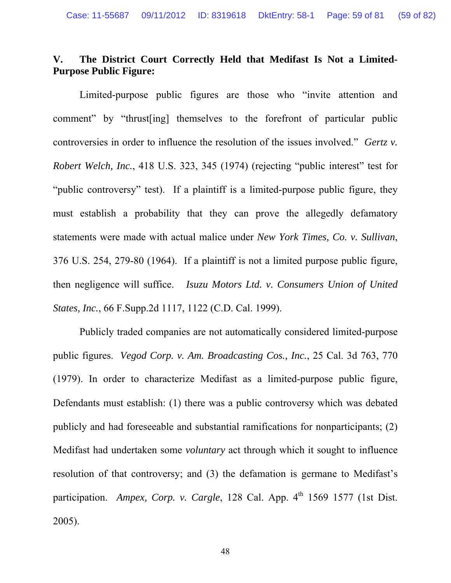# **V. The District Court Correctly Held that Medifast Is Not a Limited-Purpose Public Figure:**

Limited-purpose public figures are those who "invite attention and comment" by "thrust[ing] themselves to the forefront of particular public controversies in order to influence the resolution of the issues involved." *Gertz v. Robert Welch, Inc.*, 418 U.S. 323, 345 (1974) (rejecting "public interest" test for "public controversy" test). If a plaintiff is a limited-purpose public figure, they must establish a probability that they can prove the allegedly defamatory statements were made with actual malice under *New York Times, Co. v. Sullivan*, 376 U.S. 254, 279-80 (1964). If a plaintiff is not a limited purpose public figure, then negligence will suffice. *Isuzu Motors Ltd. v. Consumers Union of United States, Inc.*, 66 F.Supp.2d 1117, 1122 (C.D. Cal. 1999).

Publicly traded companies are not automatically considered limited-purpose public figures. *Vegod Corp. v. Am. Broadcasting Cos., Inc.*, 25 Cal. 3d 763, 770 (1979). In order to characterize Medifast as a limited-purpose public figure, Defendants must establish: (1) there was a public controversy which was debated publicly and had foreseeable and substantial ramifications for nonparticipants; (2) Medifast had undertaken some *voluntary* act through which it sought to influence resolution of that controversy; and (3) the defamation is germane to Medifast's participation. *Ampex, Corp. v. Cargle*, 128 Cal. App.  $4<sup>th</sup>$  1569 1577 (1st Dist. 2005).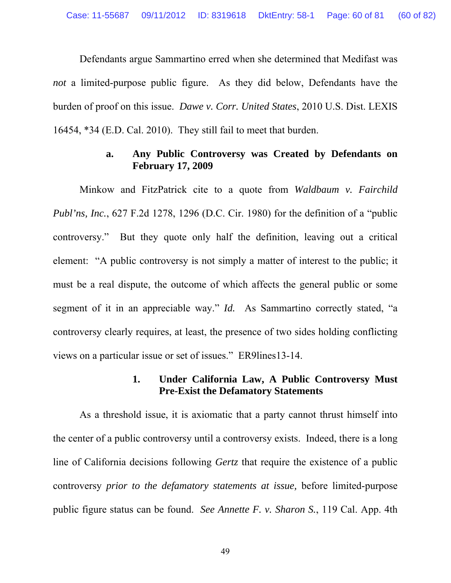Defendants argue Sammartino erred when she determined that Medifast was *not* a limited-purpose public figure. As they did below, Defendants have the burden of proof on this issue. *Dawe v. Corr. United States*, 2010 U.S. Dist. LEXIS 16454, \*34 (E.D. Cal. 2010). They still fail to meet that burden.

#### **a. Any Public Controversy was Created by Defendants on February 17, 2009**

Minkow and FitzPatrick cite to a quote from *Waldbaum v. Fairchild Publ'ns, Inc.*, 627 F.2d 1278, 1296 (D.C. Cir. 1980) for the definition of a "public controversy." But they quote only half the definition, leaving out a critical element: "A public controversy is not simply a matter of interest to the public; it must be a real dispute, the outcome of which affects the general public or some segment of it in an appreciable way." *Id.* As Sammartino correctly stated, "a controversy clearly requires, at least, the presence of two sides holding conflicting views on a particular issue or set of issues." ER9lines13-14.

### **1. Under California Law, A Public Controversy Must Pre-Exist the Defamatory Statements**

As a threshold issue, it is axiomatic that a party cannot thrust himself into the center of a public controversy until a controversy exists. Indeed, there is a long line of California decisions following *Gertz* that require the existence of a public controversy *prior to the defamatory statements at issue,* before limited-purpose public figure status can be found. *See Annette F. v. Sharon S.*, 119 Cal. App. 4th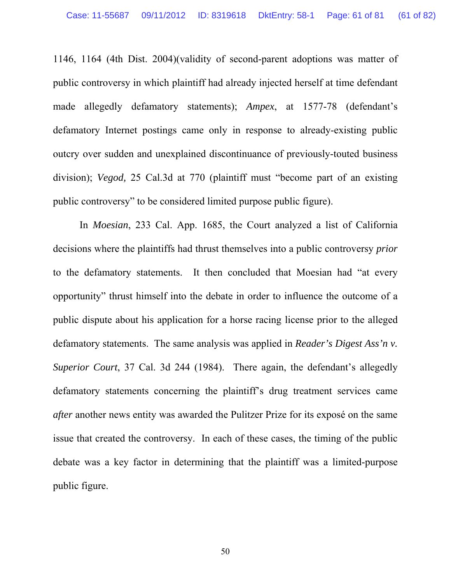1146, 1164 (4th Dist. 2004)(validity of second-parent adoptions was matter of public controversy in which plaintiff had already injected herself at time defendant made allegedly defamatory statements); *Ampex*, at 1577-78 (defendant's defamatory Internet postings came only in response to already-existing public outcry over sudden and unexplained discontinuance of previously-touted business division); *Vegod,* 25 Cal.3d at 770 (plaintiff must "become part of an existing public controversy" to be considered limited purpose public figure).

In *Moesian*, 233 Cal. App. 1685, the Court analyzed a list of California decisions where the plaintiffs had thrust themselves into a public controversy *prior* to the defamatory statements. It then concluded that Moesian had "at every opportunity" thrust himself into the debate in order to influence the outcome of a public dispute about his application for a horse racing license prior to the alleged defamatory statements. The same analysis was applied in *Reader's Digest Ass'n v. Superior Court*, 37 Cal. 3d 244 (1984). There again, the defendant's allegedly defamatory statements concerning the plaintiff's drug treatment services came *after* another news entity was awarded the Pulitzer Prize for its exposé on the same issue that created the controversy. In each of these cases, the timing of the public debate was a key factor in determining that the plaintiff was a limited-purpose public figure.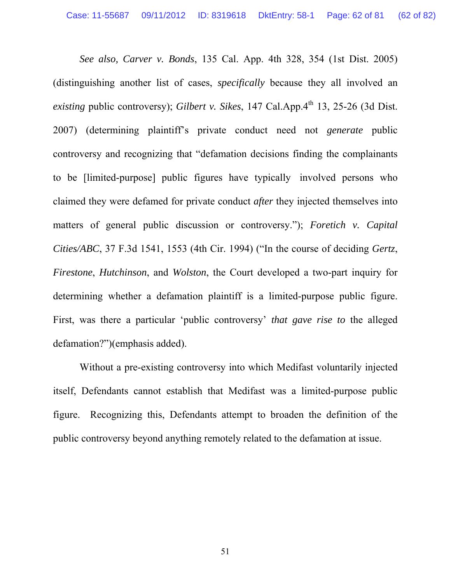*See also, Carver v. Bonds*, 135 Cal. App. 4th 328, 354 (1st Dist. 2005) (distinguishing another list of cases, *specifically* because they all involved an *existing* public controversy); *Gilbert v. Sikes*, 147 Cal.App.4<sup>th</sup> 13, 25-26 (3d Dist. 2007) (determining plaintiff's private conduct need not *generate* public controversy and recognizing that "defamation decisions finding the complainants to be [limited-purpose] public figures have typically involved persons who claimed they were defamed for private conduct *after* they injected themselves into matters of general public discussion or controversy."); *Foretich v. Capital Cities/ABC*, 37 F.3d 1541, 1553 (4th Cir. 1994) ("In the course of deciding *Gertz*, *Firestone*, *Hutchinson*, and *Wolston*, the Court developed a two-part inquiry for determining whether a defamation plaintiff is a limited-purpose public figure. First, was there a particular 'public controversy' *that gave rise to* the alleged defamation?")(emphasis added).

Without a pre-existing controversy into which Medifast voluntarily injected itself, Defendants cannot establish that Medifast was a limited-purpose public figure. Recognizing this, Defendants attempt to broaden the definition of the public controversy beyond anything remotely related to the defamation at issue.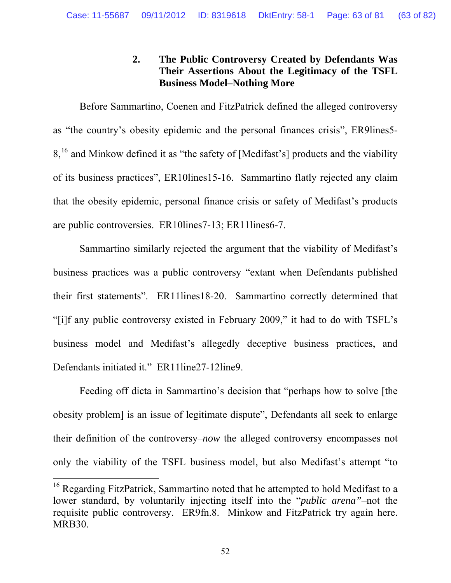# **2. The Public Controversy Created by Defendants Was Their Assertions About the Legitimacy of the TSFL Business Model–Nothing More**

Before Sammartino, Coenen and FitzPatrick defined the alleged controversy as "the country's obesity epidemic and the personal finances crisis", ER9lines5- 8,<sup>[16](#page-62-0)</sup> and Minkow defined it as "the safety of [Medifast's] products and the viability of its business practices", ER10lines15-16. Sammartino flatly rejected any claim that the obesity epidemic, personal finance crisis or safety of Medifast's products are public controversies. ER10lines7-13; ER11lines6-7.

Sammartino similarly rejected the argument that the viability of Medifast's business practices was a public controversy "extant when Defendants published their first statements". ER11lines18-20. Sammartino correctly determined that "[i]f any public controversy existed in February 2009," it had to do with TSFL's business model and Medifast's allegedly deceptive business practices, and Defendants initiated it." ER11line27-12line9.

Feeding off dicta in Sammartino's decision that "perhaps how to solve [the obesity problem] is an issue of legitimate dispute", Defendants all seek to enlarge their definition of the controversy–*now* the alleged controversy encompasses not only the viability of the TSFL business model, but also Medifast's attempt "to

<span id="page-62-0"></span><sup>&</sup>lt;sup>16</sup> Regarding FitzPatrick, Sammartino noted that he attempted to hold Medifast to a lower standard, by voluntarily injecting itself into the "*public arena"*–not the requisite public controversy. ER9fn.8. Minkow and FitzPatrick try again here. MRB30.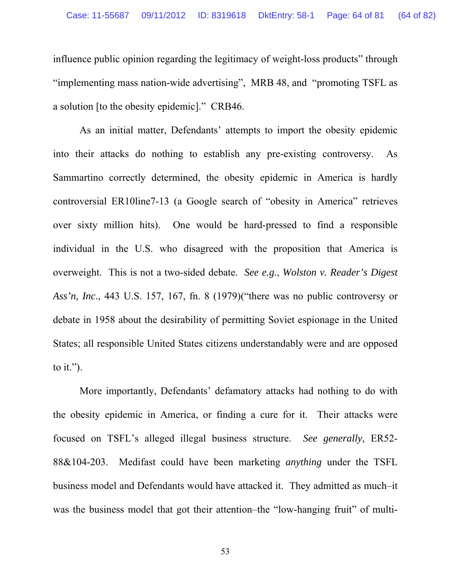influence public opinion regarding the legitimacy of weight-loss products" through "implementing mass nation-wide advertising", MRB 48, and "promoting TSFL as a solution [to the obesity epidemic]." CRB46.

As an initial matter, Defendants' attempts to import the obesity epidemic into their attacks do nothing to establish any pre-existing controversy. As Sammartino correctly determined, the obesity epidemic in America is hardly controversial ER10line7-13 (a Google search of "obesity in America" retrieves over sixty million hits). One would be hard-pressed to find a responsible individual in the U.S. who disagreed with the proposition that America is overweight. This is not a two-sided debate. *See e.g.*, *Wolston v. Reader's Digest Ass'n, Inc*., 443 U.S. 157, 167, fn. 8 (1979)("there was no public controversy or debate in 1958 about the desirability of permitting Soviet espionage in the United States; all responsible United States citizens understandably were and are opposed to it.").

More importantly, Defendants' defamatory attacks had nothing to do with the obesity epidemic in America, or finding a cure for it. Their attacks were focused on TSFL's alleged illegal business structure. *See generally*, ER52- 88&104-203. Medifast could have been marketing *anything* under the TSFL business model and Defendants would have attacked it. They admitted as much–it was the business model that got their attention–the "low-hanging fruit" of multi-

53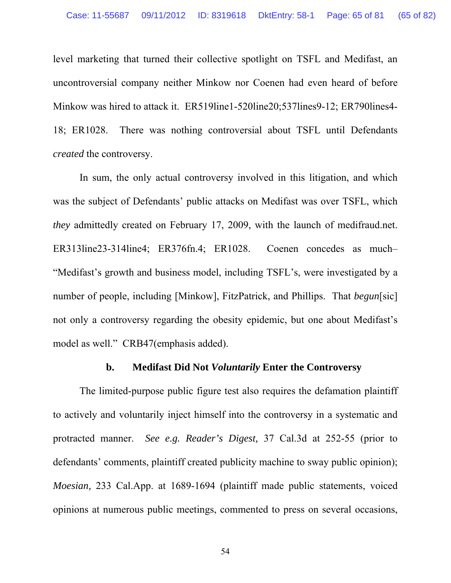level marketing that turned their collective spotlight on TSFL and Medifast, an uncontroversial company neither Minkow nor Coenen had even heard of before Minkow was hired to attack it. ER519line1-520line20;537lines9-12; ER790lines4- 18; ER1028. There was nothing controversial about TSFL until Defendants *created* the controversy.

In sum, the only actual controversy involved in this litigation, and which was the subject of Defendants' public attacks on Medifast was over TSFL, which *they* admittedly created on February 17, 2009, with the launch of medifraud.net. ER313line23-314line4; ER376fn.4; ER1028. Coenen concedes as much– "Medifast's growth and business model, including TSFL's, were investigated by a number of people, including [Minkow], FitzPatrick, and Phillips. That *begun*[sic] not only a controversy regarding the obesity epidemic, but one about Medifast's model as well." CRB47(emphasis added).

#### **b. Medifast Did Not** *Voluntarily* **Enter the Controversy**

The limited-purpose public figure test also requires the defamation plaintiff to actively and voluntarily inject himself into the controversy in a systematic and protracted manner. *See e.g. Reader's Digest,* 37 Cal.3d at 252-55 (prior to defendants' comments, plaintiff created publicity machine to sway public opinion); *Moesian,* 233 Cal.App. at 1689-1694 (plaintiff made public statements, voiced opinions at numerous public meetings, commented to press on several occasions,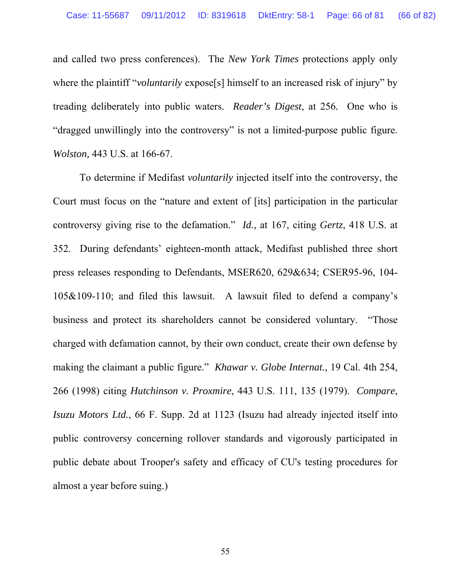and called two press conferences). The *New York Times* protections apply only where the plaintiff "*voluntarily* expose<sup>[5]</sup> himself to an increased risk of injury" by treading deliberately into public waters. *Reader's Digest*, at 256*.* One who is "dragged unwillingly into the controversy" is not a limited-purpose public figure. *Wolston,* 443 U.S. at 166-67.

To determine if Medifast *voluntarily* injected itself into the controversy, the Court must focus on the "nature and extent of [its] participation in the particular controversy giving rise to the defamation." *Id.,* at 167, citing *Gertz*, 418 U.S. at 352. During defendants' eighteen-month attack, Medifast published three short press releases responding to Defendants, MSER620, 629&634; CSER95-96, 104- 105&109-110; and filed this lawsuit. A lawsuit filed to defend a company's business and protect its shareholders cannot be considered voluntary. "Those charged with defamation cannot, by their own conduct, create their own defense by making the claimant a public figure." *Khawar v. Globe Internat.*, 19 Cal. 4th 254, 266 (1998) citing *Hutchinson v. Proxmire*, 443 U.S. 111, 135 (1979). *Compare*, *Isuzu Motors Ltd.*, 66 F. Supp. 2d at 1123 (Isuzu had already injected itself into public controversy concerning rollover standards and vigorously participated in public debate about Trooper's safety and efficacy of CU's testing procedures for almost a year before suing.)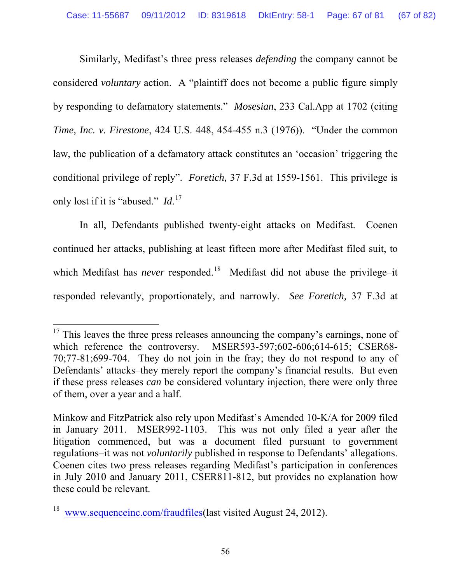Similarly, Medifast's three press releases *defending* the company cannot be considered *voluntary* action. A "plaintiff does not become a public figure simply by responding to defamatory statements." *Mosesian*, 233 Cal.App at 1702 (citing *Time, Inc. v. Firestone*, 424 U.S. 448, 454-455 n.3 (1976)). "Under the common law, the publication of a defamatory attack constitutes an 'occasion' triggering the conditional privilege of reply". *Foretich,* 37 F.3d at 1559-1561. This privilege is only lost if it is "abused." *Id*. [17](#page-66-0)

In all, Defendants published twenty-eight attacks on Medifast. Coenen continued her attacks, publishing at least fifteen more after Medifast filed suit, to which Medifast has *never* responded.<sup>[18](#page-66-1)</sup> Medifast did not abuse the privilege-it responded relevantly, proportionately, and narrowly. *See Foretich,* 37 F.3d at

<span id="page-66-0"></span> $17$  This leaves the three press releases announcing the company's earnings, none of which reference the controversy. MSER593-597;602-606;614-615; CSER68-70;77-81;699-704. They do not join in the fray; they do not respond to any of Defendants' attacks–they merely report the company's financial results. But even if these press releases *can* be considered voluntary injection, there were only three of them, over a year and a half.

Minkow and FitzPatrick also rely upon Medifast's Amended 10-K/A for 2009 filed in January 2011. MSER992-1103. This was not only filed a year after the litigation commenced, but was a document filed pursuant to government regulations–it was not *voluntarily* published in response to Defendants' allegations. Coenen cites two press releases regarding Medifast's participation in conferences in July 2010 and January 2011, CSER811-812, but provides no explanation how these could be relevant.

<span id="page-66-1"></span><sup>&</sup>lt;sup>18</sup> [www.sequenceinc.com/fraudfiles](http://www.sequenceinc.com/fraudfiles)(last visited August 24, 2012).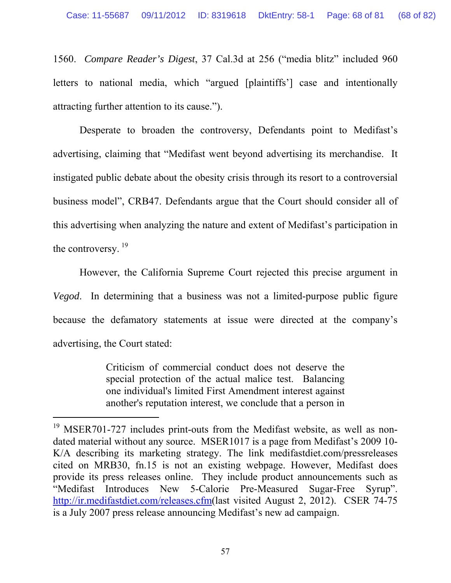1560. *Compare Reader's Digest*, 37 Cal.3d at 256 ("media blitz" included 960 letters to national media, which "argued [plaintiffs'] case and intentionally attracting further attention to its cause.").

Desperate to broaden the controversy, Defendants point to Medifast's advertising, claiming that "Medifast went beyond advertising its merchandise. It instigated public debate about the obesity crisis through its resort to a controversial business model", CRB47. Defendants argue that the Court should consider all of this advertising when analyzing the nature and extent of Medifast's participation in the controversy.  $19$ 

However, the California Supreme Court rejected this precise argument in *Vegod*. In determining that a business was not a limited-purpose public figure because the defamatory statements at issue were directed at the company's advertising, the Court stated:

> Criticism of commercial conduct does not deserve the special protection of the actual malice test. Balancing one individual's limited First Amendment interest against another's reputation interest, we conclude that a person in

<span id="page-67-0"></span><sup>&</sup>lt;sup>19</sup> MSER701-727 includes print-outs from the Medifast website, as well as nondated material without any source. MSER1017 is a page from Medifast's 2009 10- K/A describing its marketing strategy. The link medifastdiet.com/pressreleases cited on MRB30, fn.15 is not an existing webpage. However, Medifast does provide its press releases online. They include product announcements such as "Medifast Introduces New 5-Calorie Pre-Measured Sugar-Free Syrup". [http://ir.medifastdiet.com/releases.cfm\(](http://ir.medifastdiet.com/releases.cfm)last visited August 2, 2012). CSER 74-75 is a July 2007 press release announcing Medifast's new ad campaign.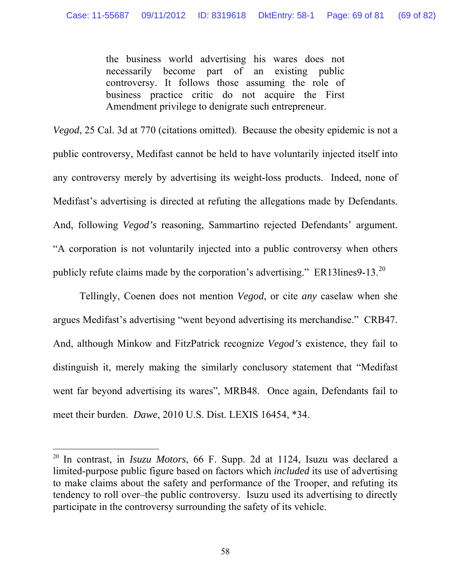the business world advertising his wares does not necessarily become part of an existing public controversy. It follows those assuming the role of business practice critic do not acquire the First Amendment privilege to denigrate such entrepreneur.

*Vegod*, 25 Cal. 3d at 770 (citations omitted). Because the obesity epidemic is not a public controversy, Medifast cannot be held to have voluntarily injected itself into any controversy merely by advertising its weight-loss products. Indeed, none of Medifast's advertising is directed at refuting the allegations made by Defendants. And, following *Vegod's* reasoning, Sammartino rejected Defendants' argument. "A corporation is not voluntarily injected into a public controversy when others publicly refute claims made by the corporation's advertising." ER13lines9-13.<sup>[20](#page-68-0)</sup>

Tellingly, Coenen does not mention *Vegod*, or cite *any* caselaw when she argues Medifast's advertising "went beyond advertising its merchandise." CRB47. And, although Minkow and FitzPatrick recognize *Vegod's* existence, they fail to distinguish it, merely making the similarly conclusory statement that "Medifast went far beyond advertising its wares", MRB48. Once again, Defendants fail to meet their burden. *Dawe*, 2010 U.S. Dist. LEXIS 16454, \*34.

<span id="page-68-0"></span><sup>20</sup> In contrast, in *Isuzu Motors*, 66 F. Supp. 2d at 1124, Isuzu was declared a limited-purpose public figure based on factors which *included* its use of advertising to make claims about the safety and performance of the Trooper, and refuting its tendency to roll over–the public controversy. Isuzu used its advertising to directly participate in the controversy surrounding the safety of its vehicle.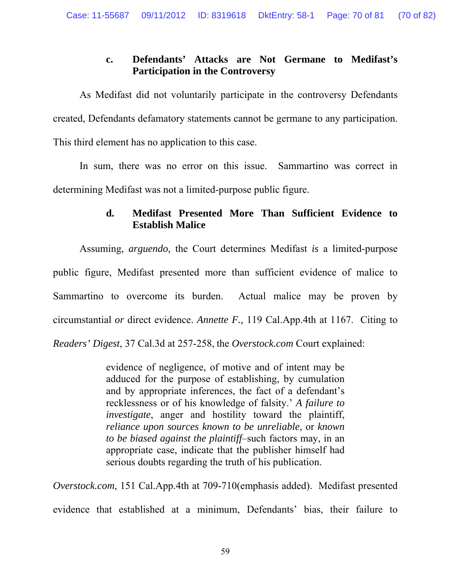# **c. Defendants' Attacks are Not Germane to Medifast's Participation in the Controversy**

As Medifast did not voluntarily participate in the controversy Defendants created, Defendants defamatory statements cannot be germane to any participation. This third element has no application to this case.

In sum, there was no error on this issue. Sammartino was correct in determining Medifast was not a limited-purpose public figure.

## **d. Medifast Presented More Than Sufficient Evidence to Establish Malice**

Assuming, *arguendo,* the Court determines Medifast *is* a limited-purpose public figure, Medifast presented more than sufficient evidence of malice to Sammartino to overcome its burden. Actual malice may be proven by circumstantial *or* direct evidence. *Annette F.,* 119 Cal.App.4th at 1167. Citing to *Readers' Digest*, 37 Cal.3d at 257-258, the *Overstock.com* Court explained:

> evidence of negligence, of motive and of intent may be adduced for the purpose of establishing, by cumulation and by appropriate inferences, the fact of a defendant's recklessness or of his knowledge of falsity.' *A failure to investigate*, anger and hostility toward the plaintiff, *reliance upon sources known to be unreliable*, or *known to be biased against the plaintiff*–such factors may, in an appropriate case, indicate that the publisher himself had serious doubts regarding the truth of his publication.

*Overstock.com*, 151 Cal.App.4th at 709-710(emphasis added). Medifast presented evidence that established at a minimum, Defendants' bias, their failure to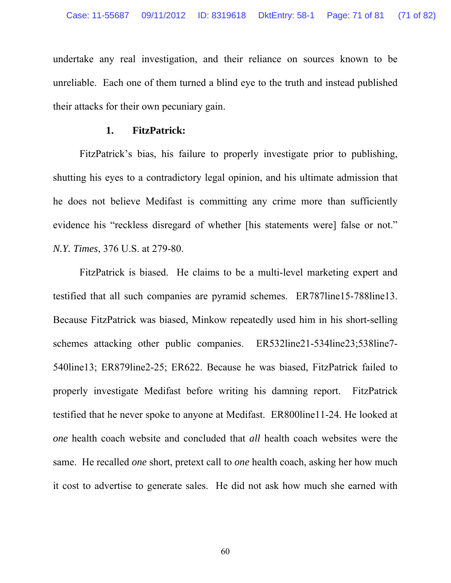undertake any real investigation, and their reliance on sources known to be unreliable. Each one of them turned a blind eye to the truth and instead published their attacks for their own pecuniary gain.

#### **1. FitzPatrick:**

FitzPatrick's bias, his failure to properly investigate prior to publishing, shutting his eyes to a contradictory legal opinion, and his ultimate admission that he does not believe Medifast is committing any crime more than sufficiently evidence his "reckless disregard of whether [his statements were] false or not." *N.Y. Times*, 376 U.S. at 279-80.

FitzPatrick is biased. He claims to be a multi-level marketing expert and testified that all such companies are pyramid schemes. ER787line15-788line13. Because FitzPatrick was biased, Minkow repeatedly used him in his short-selling schemes attacking other public companies. ER532line21-534line23;538line7-540line13; ER879line2-25; ER622. Because he was biased, FitzPatrick failed to properly investigate Medifast before writing his damning report. FitzPatrick testified that he never spoke to anyone at Medifast. ER800line11-24. He looked at *one* health coach website and concluded that *all* health coach websites were the same. He recalled *one* short, pretext call to *one* health coach, asking her how much it cost to advertise to generate sales. He did not ask how much she earned with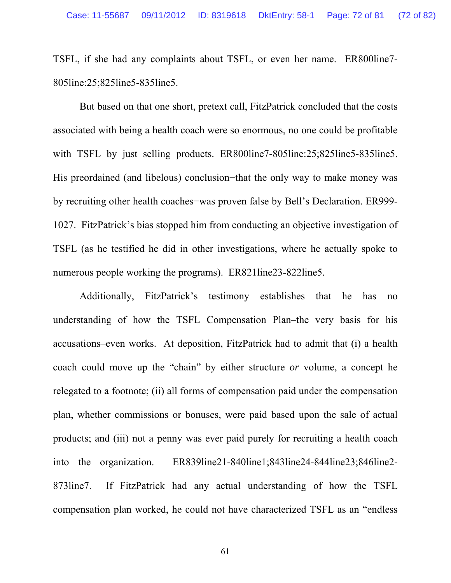TSFL, if she had any complaints about TSFL, or even her name. ER800line7- 805line:25;825line5-835line5.

But based on that one short, pretext call, FitzPatrick concluded that the costs associated with being a health coach were so enormous, no one could be profitable with TSFL by just selling products. ER800line7-805line:25;825line5-835line5. His preordained (and libelous) conclusion−that the only way to make money was by recruiting other health coaches−was proven false by Bell's Declaration. ER999- 1027. FitzPatrick's bias stopped him from conducting an objective investigation of TSFL (as he testified he did in other investigations, where he actually spoke to numerous people working the programs). ER821line23-822line5.

Additionally, FitzPatrick's testimony establishes that he has no understanding of how the TSFL Compensation Plan–the very basis for his accusations–even works. At deposition, FitzPatrick had to admit that (i) a health coach could move up the "chain" by either structure *or* volume, a concept he relegated to a footnote; (ii) all forms of compensation paid under the compensation plan, whether commissions or bonuses, were paid based upon the sale of actual products; and (iii) not a penny was ever paid purely for recruiting a health coach into the organization. ER839line21-840line1;843line24-844line23;846line2- 873line7. If FitzPatrick had any actual understanding of how the TSFL compensation plan worked, he could not have characterized TSFL as an "endless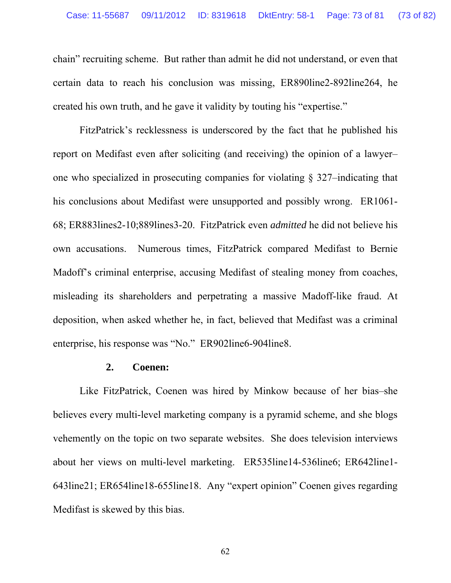chain" recruiting scheme. But rather than admit he did not understand, or even that certain data to reach his conclusion was missing, ER890line2-892line264, he created his own truth, and he gave it validity by touting his "expertise."

FitzPatrick's recklessness is underscored by the fact that he published his report on Medifast even after soliciting (and receiving) the opinion of a lawyer– one who specialized in prosecuting companies for violating § 327–indicating that his conclusions about Medifast were unsupported and possibly wrong. ER1061- 68; ER883lines2-10;889lines3-20. FitzPatrick even *admitted* he did not believe his own accusations. Numerous times, FitzPatrick compared Medifast to Bernie Madoff's criminal enterprise, accusing Medifast of stealing money from coaches, misleading its shareholders and perpetrating a massive Madoff-like fraud. At deposition, when asked whether he, in fact, believed that Medifast was a criminal enterprise, his response was "No." ER902line6-904line8.

#### **2. Coenen:**

Like FitzPatrick, Coenen was hired by Minkow because of her bias–she believes every multi-level marketing company is a pyramid scheme, and she blogs vehemently on the topic on two separate websites. She does television interviews about her views on multi-level marketing. ER535line14-536line6; ER642line1- 643line21; ER654line18-655line18. Any "expert opinion" Coenen gives regarding Medifast is skewed by this bias.

62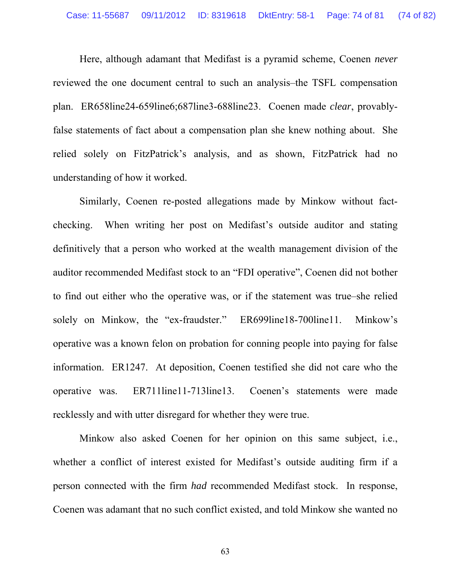Here, although adamant that Medifast is a pyramid scheme, Coenen *never* reviewed the one document central to such an analysis–the TSFL compensation plan. ER658line24-659line6;687line3-688line23. Coenen made *clear*, provablyfalse statements of fact about a compensation plan she knew nothing about. She relied solely on FitzPatrick's analysis, and as shown, FitzPatrick had no understanding of how it worked.

Similarly, Coenen re-posted allegations made by Minkow without factchecking. When writing her post on Medifast's outside auditor and stating definitively that a person who worked at the wealth management division of the auditor recommended Medifast stock to an "FDI operative", Coenen did not bother to find out either who the operative was, or if the statement was true–she relied solely on Minkow, the "ex-fraudster." ER699line18-700line11. Minkow's operative was a known felon on probation for conning people into paying for false information. ER1247. At deposition, Coenen testified she did not care who the operative was. ER711line11-713line13. Coenen's statements were made recklessly and with utter disregard for whether they were true.

Minkow also asked Coenen for her opinion on this same subject, i.e., whether a conflict of interest existed for Medifast's outside auditing firm if a person connected with the firm *had* recommended Medifast stock. In response, Coenen was adamant that no such conflict existed, and told Minkow she wanted no

63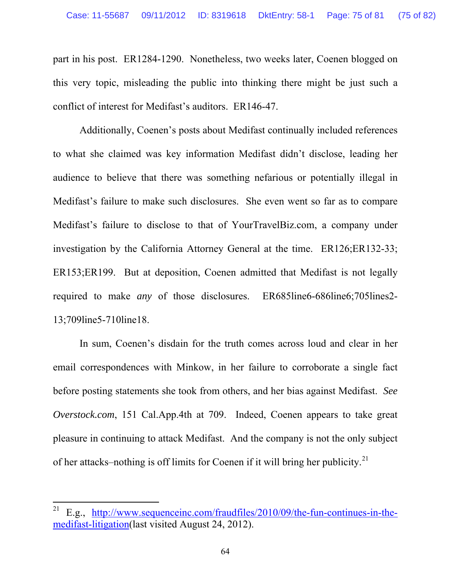part in his post. ER1284-1290. Nonetheless, two weeks later, Coenen blogged on this very topic, misleading the public into thinking there might be just such a conflict of interest for Medifast's auditors. ER146-47.

Additionally, Coenen's posts about Medifast continually included references to what she claimed was key information Medifast didn't disclose, leading her audience to believe that there was something nefarious or potentially illegal in Medifast's failure to make such disclosures. She even went so far as to compare Medifast's failure to disclose to that of YourTravelBiz.com, a company under investigation by the California Attorney General at the time. ER126;ER132-33; ER153;ER199. But at deposition, Coenen admitted that Medifast is not legally required to make *any* of those disclosures. ER685line6-686line6;705lines2- 13;709line5-710line18.

In sum, Coenen's disdain for the truth comes across loud and clear in her email correspondences with Minkow, in her failure to corroborate a single fact before posting statements she took from others, and her bias against Medifast. *See Overstock.com*, 151 Cal.App.4th at 709. Indeed, Coenen appears to take great pleasure in continuing to attack Medifast. And the company is not the only subject of her attacks–nothing is off limits for Coenen if it will bring her publicity.<sup>[21](#page-74-0)</sup>

 $\overline{a}$ 

<span id="page-74-0"></span><sup>&</sup>lt;sup>21</sup> E.g., [http://www.sequenceinc.com/fraudfiles/2010/09/the-fun-continues-in-the](http://www.sequenceinc.com/fraudfiles/2010/09/the-fun-continues-in-the-medifast-litigation)[medifast-litigation\(](http://www.sequenceinc.com/fraudfiles/2010/09/the-fun-continues-in-the-medifast-litigation)last visited August 24, 2012).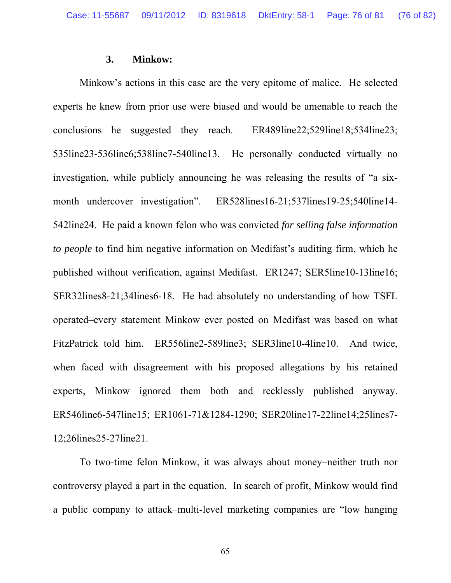### **3. Minkow:**

Minkow's actions in this case are the very epitome of malice. He selected experts he knew from prior use were biased and would be amenable to reach the conclusions he suggested they reach. ER489line22;529line18;534line23; 535line23-536line6;538line7-540line13. He personally conducted virtually no investigation, while publicly announcing he was releasing the results of "a sixmonth undercover investigation". ER528lines16-21;537lines19-25;540line14-542line24. He paid a known felon who was convicted *for selling false information to people* to find him negative information on Medifast's auditing firm, which he published without verification, against Medifast. ER1247; SER5line10-13line16; SER32lines8-21;34lines6-18. He had absolutely no understanding of how TSFL operated–every statement Minkow ever posted on Medifast was based on what FitzPatrick told him. ER556line2-589line3; SER3line10-4line10. And twice, when faced with disagreement with his proposed allegations by his retained experts, Minkow ignored them both and recklessly published anyway. ER546line6-547line15; ER1061-71&1284-1290; SER20line17-22line14;25lines7- 12;26lines25-27line21.

To two-time felon Minkow, it was always about money–neither truth nor controversy played a part in the equation. In search of profit, Minkow would find a public company to attack–multi-level marketing companies are "low hanging

65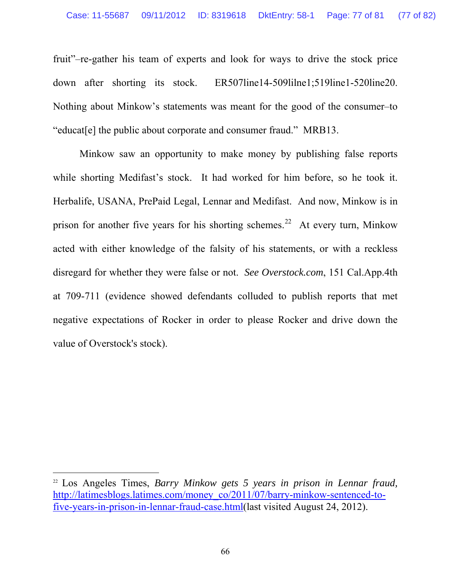fruit"–re-gather his team of experts and look for ways to drive the stock price down after shorting its stock. ER507line14-509lilne1;519line1-520line20. Nothing about Minkow's statements was meant for the good of the consumer–to "educat[e] the public about corporate and consumer fraud." MRB13.

Minkow saw an opportunity to make money by publishing false reports while shorting Medifast's stock. It had worked for him before, so he took it. Herbalife, USANA, PrePaid Legal, Lennar and Medifast. And now, Minkow is in prison for another five years for his shorting schemes.<sup>[22](#page-76-0)</sup> At every turn, Minkow acted with either knowledge of the falsity of his statements, or with a reckless disregard for whether they were false or not. *See Overstock.com*, 151 Cal.App.4th at 709-711 (evidence showed defendants colluded to publish reports that met negative expectations of Rocker in order to please Rocker and drive down the value of Overstock's stock).

 $\overline{a}$ 

<span id="page-76-0"></span><sup>&</sup>lt;sup>22</sup> Los Angeles Times, *Barry Minkow gets 5 years in prison in Lennar fraud,* [http://latimesblogs.latimes.com/money\\_co/2011/07/barry-minkow-sentenced-to](http://latimesblogs.latimes.com/money_co/2011/07/barry-minkow-sentenced-to-five-years-in-prison-in-lennar-fraud-case.html)[five-years-in-prison-in-lennar-fraud-case.html](http://latimesblogs.latimes.com/money_co/2011/07/barry-minkow-sentenced-to-five-years-in-prison-in-lennar-fraud-case.html)(last visited August 24, 2012).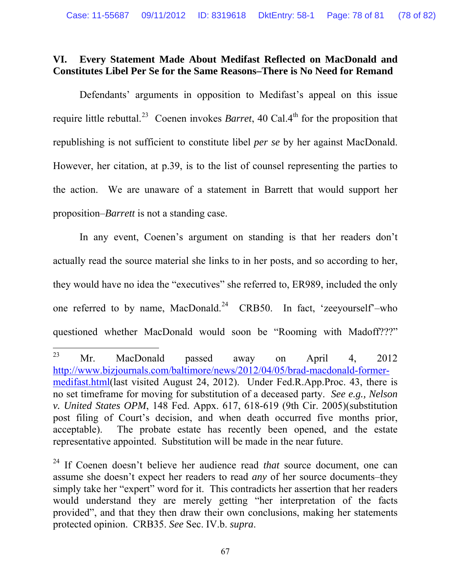# **VI. Every Statement Made About Medifast Reflected on MacDonald and Constitutes Libel Per Se for the Same Reasons–There is No Need for Remand**

Defendants' arguments in opposition to Medifast's appeal on this issue require little rebuttal.<sup>[23](#page-77-0)</sup> Coenen invokes *Barret*, 40 Cal.4<sup>th</sup> for the proposition that republishing is not sufficient to constitute libel *per se* by her against MacDonald. However, her citation, at p.39, is to the list of counsel representing the parties to the action. We are unaware of a statement in Barrett that would support her proposition–*Barrett* is not a standing case.

In any event, Coenen's argument on standing is that her readers don't actually read the source material she links to in her posts, and so according to her, they would have no idea the "executives" she referred to, ER989, included the only one referred to by name, MacDonald.<sup>[24](#page-77-1)</sup> CRB50. In fact, 'zeeyourself'-who questioned whether MacDonald would soon be "Rooming with Madoff???"

 $\overline{a}$ 

<span id="page-77-0"></span><sup>&</sup>lt;sup>23</sup> Mr. MacDonald passed away on April 4, 2012 [http://www.bizjournals.com/baltimore/news/2012/04/05/brad-macdonald-former](http://www.bizjournals.com/baltimore/news/2012/04/05/brad-macdonald-former-medifast.html)[medifast.html](http://www.bizjournals.com/baltimore/news/2012/04/05/brad-macdonald-former-medifast.html)(last visited August 24, 2012). Under Fed.R.App.Proc. 43, there is no set timeframe for moving for substitution of a deceased party. *See e.g., Nelson v. United States OPM*, 148 Fed. Appx. 617, 618-619 (9th Cir. 2005)(substitution post filing of Court's decision, and when death occurred five months prior, acceptable). The probate estate has recently been opened, and the estate representative appointed. Substitution will be made in the near future.

<span id="page-77-1"></span><sup>24</sup> If Coenen doesn't believe her audience read *that* source document, one can assume she doesn't expect her readers to read *any* of her source documents–they simply take her "expert" word for it. This contradicts her assertion that her readers would understand they are merely getting "her interpretation of the facts provided", and that they then draw their own conclusions, making her statements protected opinion. CRB35. *See* Sec. IV.b. *supra*.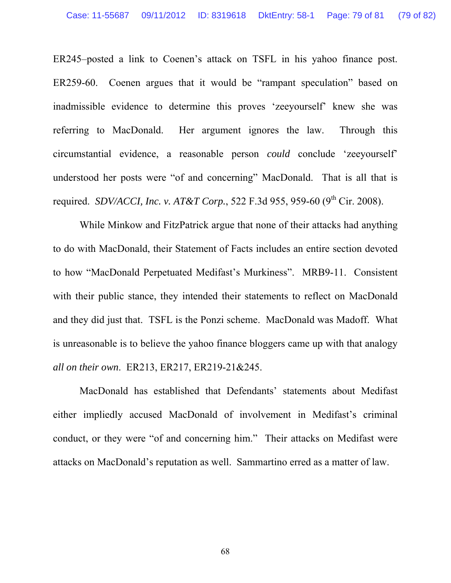ER245–posted a link to Coenen's attack on TSFL in his yahoo finance post. ER259-60. Coenen argues that it would be "rampant speculation" based on inadmissible evidence to determine this proves 'zeeyourself' knew she was referring to MacDonald. Her argument ignores the law. Through this circumstantial evidence, a reasonable person *could* conclude 'zeeyourself' understood her posts were "of and concerning" MacDonald. That is all that is required. *SDV/ACCI, Inc. v. AT&T Corp.*, 522 F.3d 955, 959-60 (9<sup>th</sup> Cir. 2008).

While Minkow and FitzPatrick argue that none of their attacks had anything to do with MacDonald, their Statement of Facts includes an entire section devoted to how "MacDonald Perpetuated Medifast's Murkiness". MRB9-11. Consistent with their public stance, they intended their statements to reflect on MacDonald and they did just that. TSFL is the Ponzi scheme. MacDonald was Madoff. What is unreasonable is to believe the yahoo finance bloggers came up with that analogy *all on their own*. ER213, ER217, ER219-21&245.

MacDonald has established that Defendants' statements about Medifast either impliedly accused MacDonald of involvement in Medifast's criminal conduct, or they were "of and concerning him." Their attacks on Medifast were attacks on MacDonald's reputation as well. Sammartino erred as a matter of law.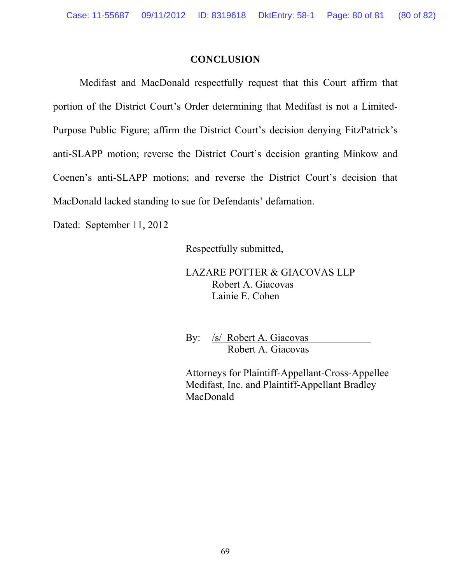### **CONCLUSION**

Medifast and MacDonald respectfully request that this Court affirm that portion of the District Court's Order determining that Medifast is not a Limited-Purpose Public Figure; affirm the District Court's decision denying FitzPatrick's anti-SLAPP motion; reverse the District Court's decision granting Minkow and Coenen's anti-SLAPP motions; and reverse the District Court's decision that MacDonald lacked standing to sue for Defendants' defamation.

Dated: September 11, 2012

Respectfully submitted,

LAZARE POTTER & GIACOVAS LLP Robert A. Giacovas Lainie E. Cohen

 By: /s/ Robert A. Giacovas Robert A. Giacovas

Attorneys for Plaintiff-Appellant-Cross-Appellee Medifast, Inc. and Plaintiff-Appellant Bradley MacDonald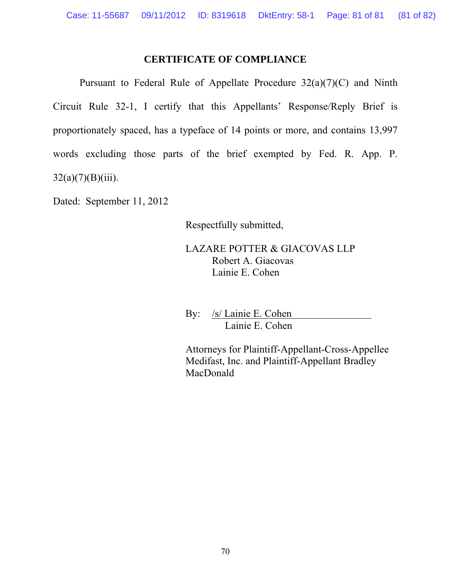## **CERTIFICATE OF COMPLIANCE**

Pursuant to Federal Rule of Appellate Procedure  $32(a)(7)(C)$  and Ninth Circuit Rule 32-1, I certify that this Appellants' Response/Reply Brief is proportionately spaced, has a typeface of 14 points or more, and contains 13,997 words excluding those parts of the brief exempted by Fed. R. App. P.  $32(a)(7)(B)(iii)$ .

Dated: September 11, 2012

Respectfully submitted,

LAZARE POTTER & GIACOVAS LLP Robert A. Giacovas Lainie E. Cohen

 By: /s/ Lainie E. Cohen Lainie E. Cohen

Attorneys for Plaintiff-Appellant-Cross-Appellee Medifast, Inc. and Plaintiff-Appellant Bradley MacDonald